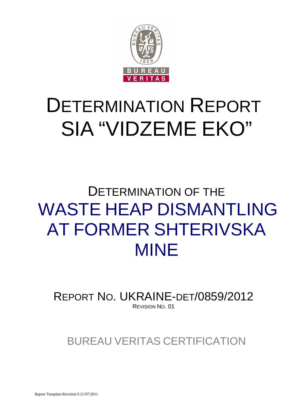

# DETERMINATION REPORT SIA "VIDZEME EKO"

# DETERMINATION OF THE WASTE HEAP DISMANTLING AT FORMER SHTERIVSKA MINE

REPORT NO. UKRAINE-DET/0859/2012 REVISION NO. 01

BUREAU VERITAS CERTIFICATION

Report Template Revision 9 21/07/2011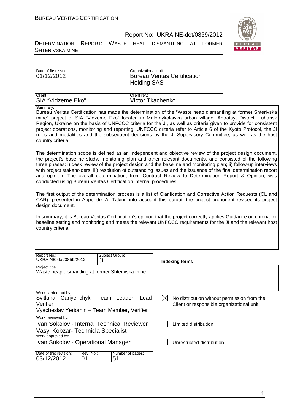

DETERMINATION REPORT: WASTE HEAP DISMANTLING AT FORMER SHTERIVSKA MINE

| Date of first issue:<br>01/12/2012 | Organizational unit:<br><b>Bureau Veritas Certification</b><br><b>Holding SAS</b> |
|------------------------------------|-----------------------------------------------------------------------------------|
| Client:                            | Client ref.:                                                                      |
| ISIA "Vidzeme Eko"                 | Victor Tkachenko                                                                  |

Summary:

Bureau Veritas Certification has made the determination of the "Waste heap dismantling at former Shterivska mine" project of SIA "Vidzeme Eko" located in Malomykolaivka urban village, Antratsyt District, Luhansk Region, Ukraine on the basis of UNFCCC criteria for the JI, as well as criteria given to provide for consistent project operations, monitoring and reporting. UNFCCC criteria refer to Article 6 of the Kyoto Protocol, the JI rules and modalities and the subsequent decisions by the JI Supervisory Committee, as well as the host country criteria.

The determination scope is defined as an independent and objective review of the project design document, the project's baseline study, monitoring plan and other relevant documents, and consisted of the following three phases: i) desk review of the project design and the baseline and monitoring plan; ii) follow-up interviews with project stakeholders; iii) resolution of outstanding issues and the issuance of the final determination report and opinion. The overall determination, from Contract Review to Determination Report & Opinion, was conducted using Bureau Veritas Certification internal procedures.

The first output of the determination process is a list of Clarification and Corrective Action Requests (CL and CAR), presented in Appendix A. Taking into account this output, the project proponent revised its project design document.

In summary, it is Bureau Veritas Certification's opinion that the project correctly applies Guidance on criteria for baseline setting and monitoring and meets the relevant UNFCCC requirements for the JI and the relevant host country criteria.

| Report No.:<br>UKRAINE-det/0859/2012                                                                                  | Subject Group:<br>JI   | Indexing terms                                                                           |
|-----------------------------------------------------------------------------------------------------------------------|------------------------|------------------------------------------------------------------------------------------|
| Project title:<br>Waste heap dismantling at former Shterivska mine                                                    |                        |                                                                                          |
| Work carried out by:<br>Svitlana Gariyenchyk- Team Leader,<br>Verifier<br>Vyacheslav Yeriomin – Team Member, Verifier | Lead                   | No distribution without permission from the<br>Client or responsible organizational unit |
| Work reviewed by:<br>Ivan Sokolov - Internal Technical Reviewer<br>Vasyl Kobzar- Technicla Specialist                 |                        | Limited distribution                                                                     |
| Work approved by:<br>Ivan Sokolov - Operational Manager                                                               |                        | Unrestricted distribution                                                                |
| Rev. No.:<br>Date of this revision:<br>03/12/2012<br>01                                                               | Number of pages:<br>51 |                                                                                          |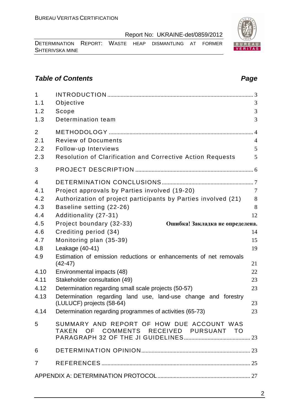DETERMINATION REPORT: WASTE HEAP DISMANTLING AT FORMER SHTERIVSKA MINE

# **Table of Contents Page 2014**

| $\mathbf{1}$<br>1.1<br>1.2   | Objective<br>Scope                                                                          | 3<br>3                                |
|------------------------------|---------------------------------------------------------------------------------------------|---------------------------------------|
| 1.3                          | Determination team                                                                          | 3                                     |
| $\overline{2}$<br>2.1<br>2.2 | <b>Review of Documents</b><br>Follow-up Interviews                                          | $\overline{4}$<br>$\overline{4}$<br>5 |
| 2.3                          | Resolution of Clarification and Corrective Action Requests                                  | 5                                     |
| 3                            |                                                                                             |                                       |
| $\overline{4}$               |                                                                                             |                                       |
| 4.1                          | Project approvals by Parties involved (19-20)                                               | $\overline{7}$                        |
| 4.2                          | Authorization of project participants by Parties involved (21)                              | 8                                     |
| 4.3                          | Baseline setting (22-26)                                                                    | 8                                     |
| 4.4                          | Additionality (27-31)                                                                       | 12                                    |
| 4.5                          | Project boundary (32-33)<br>Ошибка! Закладка не определена.                                 |                                       |
| 4.6                          | Crediting period (34)                                                                       | 14                                    |
| 4.7                          | Monitoring plan (35-39)                                                                     | 15                                    |
| 4.8                          | Leakage (40-41)                                                                             | 19                                    |
| 4.9                          | Estimation of emission reductions or enhancements of net removals<br>$(42-47)$              | 21                                    |
| 4.10                         | Environmental impacts (48)                                                                  | 22                                    |
| 4.11                         | Stakeholder consultation (49)                                                               | 23                                    |
| 4.12                         | Determination regarding small scale projects (50-57)                                        | 23                                    |
| 4.13                         | Determination regarding land use, land-use change and forestry<br>(LULUCF) projects (58-64) | 23                                    |
|                              | 4.14 Determination regarding programmes of activities (65-73)                               | 23                                    |
| 5                            | SUMMARY AND REPORT OF HOW DUE ACCOUNT WAS<br>TAKEN OF COMMENTS RECEIVED PURSUANT TO         |                                       |
| 6                            |                                                                                             |                                       |
| $\overline{7}$               |                                                                                             |                                       |
|                              |                                                                                             |                                       |

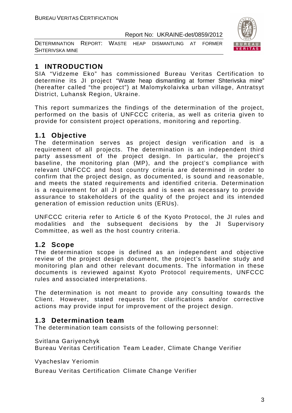DETERMINATION REPORT: WASTE HEAP DISMANTLING AT FORMER SHTERIVSKA MINE



# **1 INTRODUCTION**

SIA "Vidzeme Eko" has commissioned Bureau Veritas Certification to determine its JI project "Waste heap dismantling at former Shterivska mine" (hereafter called "the project") at Malomykolaivka urban village, Antratsyt District, Luhansk Region, Ukraine.

This report summarizes the findings of the determination of the project, performed on the basis of UNFCCC criteria, as well as criteria given to provide for consistent project operations, monitoring and reporting.

# **1.1 Objective**

The determination serves as project design verification and is a requirement of all projects. The determination is an independent third party assessment of the project design. In particular, the project's baseline, the monitoring plan (MP), and the project's compliance with relevant UNFCCC and host country criteria are determined in order to confirm that the project design, as documented, is sound and reasonable, and meets the stated requirements and identified criteria. Determination is a requirement for all JI projects and is seen as necessary to provide assurance to stakeholders of the quality of the project and its intended generation of emission reduction units (ERUs).

UNFCCC criteria refer to Article 6 of the Kyoto Protocol, the JI rules and modalities and the subsequent decisions by the JI Supervisory Committee, as well as the host country criteria.

# **1.2 Scope**

The determination scope is defined as an independent and objective review of the project design document, the project's baseline study and monitoring plan and other relevant documents. The information in these documents is reviewed against Kyoto Protocol requirements, UNFCCC rules and associated interpretations.

The determination is not meant to provide any consulting towards the Client. However, stated requests for clarifications and/or corrective actions may provide input for improvement of the project design.

# **1.3 Determination team**

The determination team consists of the following personnel:

Svitlana Gariyenchyk

Bureau Veritas Certification Team Leader, Climate Change Verifier

Vyacheslav Yeriomin

Bureau Veritas Certification Climate Change Verifier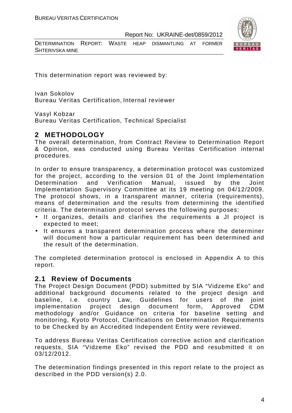DETERMINATION REPORT: WASTE HEAP DISMANTLING AT FORMER SHTERIVSKA MINE



This determination report was reviewed by:

Ivan Sokolov Bureau Veritas Certification, Internal reviewer

Vasyl Kobzar

Bureau Veritas Certification, Technical Specialist

# **2 METHODOLOGY**

The overall determination, from Contract Review to Determination Report & Opinion, was conducted using Bureau Veritas Certification internal procedures.

In order to ensure transparency, a determination protocol was customized for the project, according to the version 01 of the Joint Implementation Determination and Verification Manual, issued by the Joint Implementation Supervisory Committee at its 19 meeting on 04/12/2009. The protocol shows, in a transparent manner, criteria (requirements), means of determination and the results from determining the identified criteria. The determination protocol serves the following purposes:

- It organizes, details and clarifies the requirements a JI project is expected to meet;
- It ensures a transparent determination process where the determiner will document how a particular requirement has been determined and the result of the determination.

The completed determination protocol is enclosed in Appendix A to this report.

# **2.1 Review of Documents**

The Project Design Document (PDD) submitted by SIA "Vidzeme Eko" and additional background documents related to the project design and baseline, i.e. country Law, Guidelines for users of the joint implementation project design document form, Approved CDM methodology and/or Guidance on criteria for baseline setting and monitoring, Kyoto Protocol, Clarifications on Determination Requirements to be Checked by an Accredited Independent Entity were reviewed.

To address Bureau Veritas Certification corrective action and clarification requests, SIA "Vidzeme Eko" revised the PDD and resubmitted it on 03/12/2012.

The determination findings presented in this report relate to the project as described in the PDD version(s) 2.0.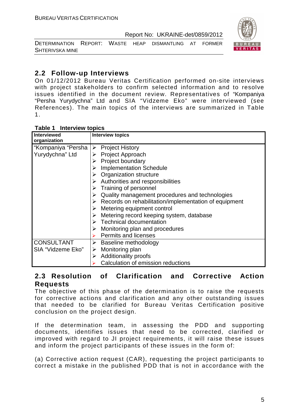

DETERMINATION REPORT: WASTE HEAP DISMANTLING AT FORMER SHTERIVSKA MINE

# **2.2 Follow-up Interviews**

On 01/12/2012 Bureau Veritas Certification performed on-site interviews with project stakeholders to confirm selected information and to resolve issues identified in the document review. Representatives of "Kompaniya "Persha Yurydychna" Ltd and SIA "Vidzeme Eko" were interviewed (see References). The main topics of the interviews are summarized in Table 1.

| Table 1 | <b>Interview topics</b> |  |
|---------|-------------------------|--|
|---------|-------------------------|--|

| <b>Interviewed</b><br>organization | <b>Interview topics</b>                                                |
|------------------------------------|------------------------------------------------------------------------|
| "Kompaniya "Persha                 | $\triangleright$ Project History                                       |
| Yurydychna" Ltd                    | $\triangleright$ Project Approach                                      |
|                                    | $\triangleright$ Project boundary                                      |
|                                    | <b>Implementation Schedule</b>                                         |
|                                    | $\triangleright$ Organization structure                                |
|                                    | $\triangleright$ Authorities and responsibilities                      |
|                                    | $\triangleright$ Training of personnel                                 |
|                                    | Quality management procedures and technologies                         |
|                                    | $\triangleright$ Records on rehabilitation/implementation of equipment |
|                                    | $\triangleright$ Metering equipment control                            |
|                                    | $\triangleright$ Metering record keeping system, database              |
|                                    | $\triangleright$ Technical documentation                               |
|                                    | $\triangleright$ Monitoring plan and procedures                        |
|                                    | <b>Permits and licenses</b>                                            |
| <b>CONSULTANT</b>                  | <b>Baseline methodology</b><br>➤                                       |
| SIA "Vidzeme Eko"                  | Monitoring plan<br>➤                                                   |
|                                    | <b>Additionality proofs</b><br>➤                                       |
|                                    | Calculation of emission reductions                                     |

# **2.3 Resolution of Clarification and Corrective Action Requests**

The objective of this phase of the determination is to raise the requests for corrective actions and clarification and any other outstanding issues that needed to be clarified for Bureau Veritas Certification positive conclusion on the project design.

If the determination team, in assessing the PDD and supporting documents, identifies issues that need to be corrected, clarified or improved with regard to JI project requirements, it will raise these issues and inform the project participants of these issues in the form of:

(a) Corrective action request (CAR), requesting the project participants to correct a mistake in the published PDD that is not in accordance with the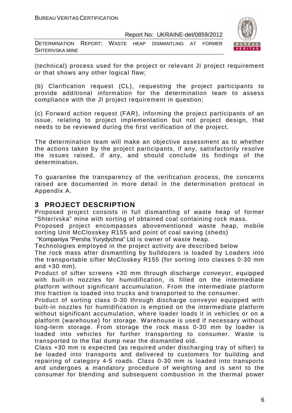DETERMINATION REPORT: WASTE HEAP DISMANTLING AT FORMER SHTERIVSKA MINE



(technical) process used for the project or relevant JI project requirement or that shows any other logical flaw;

(b) Clarification request (CL), requesting the project participants to provide additional information for the determination team to assess compliance with the JI project requirement in question;

(c) Forward action request (FAR), informing the project participants of an issue, relating to project implementation but not project design, that needs to be reviewed during the first verification of the project.

The determination team will make an objective assessment as to whether the actions taken by the project participants, if any, satisfactorily resolve the issues raised, if any, and should conclude its findings of the determination.

To guarantee the transparency of the verification process, the concerns raised are documented in more detail in the determination protocol in Appendix A.

# **3 PROJECT DESCRIPTION**

Proposed project consists in full dismantling of waste heap of former "Shterivska" mine with sorting of obtained coal containing rock mass.

Proposed project encompasses abovementioned waste heap, mobile sorting Unit McClosskey R155 and point of coal saving (sheds)

"Kompaniya "Persha Yurydychna" Ltd is owner of waste heap.

Technologies employed in the project activity are described below

The rock mass after dismantling by bulldozers is loaded by Loaders into the transportable sifter McCloskey R155 (for sorting into classes 0-30 mm and +30 mm).

Product of sifter screens +30 mm through discharge conveyor, equipped with built-in nozzles for humidification, is filled on the intermediate platform without significant accumulation. From the intermediate platform this fraction is loaded into trucks and transported to the consumer.

Product of sorting class 0-30 through discharge conveyor equipped with built-in nozzles for humidification is emptied on the intermediate platform without significant accumulation, where loader loads it in vehicles or on a platform (warehouse) for storage. Warehouse is used if necessary without long-term storage. From storage the rock mass 0-30 mm by loader is loaded into vehicles for further transporting to consumer. Waste is transported to the flat dump near the dismantled old.

Class +30 mm is expected (as required under discharging tray of sifter) to be loaded into transports and delivered to customers for building and repairing of category 4-5 roads. Class 0-30 mm is loaded into transports and undergoes a mandatory procedure of weighting and is sent to the consumer for blending and subsequent combustion in the thermal power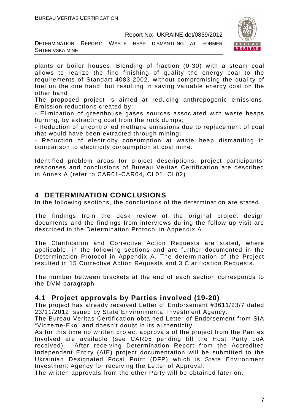

DETERMINATION REPORT: WASTE HEAP DISMANTLING AT FORMER SHTERIVSKA MINE

plants or boiler houses. Blending of fraction (0-30) with a steam coal allows to realize the fine finishing of quality the energy coal to the requirements of Standart 4083-2002, without compromising the quality of fuel on the one hand, but resulting in saving valuable energy coal on the other hand

The proposed project is aimed at reducing anthropogenic emissions. Emission reductions created by:

- Elimination of greenhouse gases sources associated with waste heaps burning, by extracting coal from the rock dumps;

- Reduction of uncontrolled methane emissions due to replacement of coal that would have been extracted through mining;

- Reduction of electricity consumption at waste heap dismantling in comparison to electricity consumption at coal mine.

Identified problem areas for project descriptions, project participants' responses and conclusions of Bureau Veritas Certification are described in Annex A (refer to CAR01-CAR04, CL01, CL02)

# **4 DETERMINATION CONCLUSIONS**

In the following sections, the conclusions of the determination are stated.

The findings from the desk review of the original project design documents and the findings from interviews during the follow up visit are described in the Determination Protocol in Appendix A.

The Clarification and Corrective Action Requests are stated, where applicable, in the following sections and are further documented in the Determination Protocol in Appendix A. The determination of the Project resulted in 15 Corrective Action Requests and 3 Clarification Requests.

The number between brackets at the end of each section corresponds to the DVM paragraph

# **4.1 Project approvals by Parties involved (19-20)**

The project has already received Letter of Endorsement #3611/23/7 dated 23/11/2012 issued by State Environmental Investment Agency.

The Bureau Veritas Certification obtained Letter of Endorsement from SIA "Vidzeme-Eko" and doesn't doubt in its authenticity.

As for this time no written project approvals of the project from the Parties Involved are available (see CAR05 pending till the Host Party LoA received). After receiving Determination Report from the Accredited Independent Entity (AIE) project documentation will be submitted to the Ukrainian Designated Focal Point (DFP) which is State Environment Investment Agency for receiving the Letter of Approval.

The written approvals from the other Party will be obtained later on.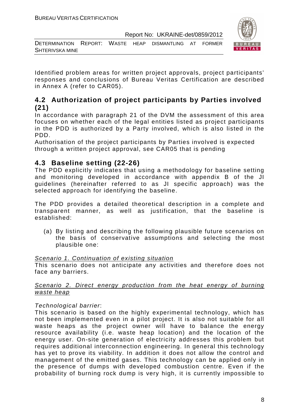

DETERMINATION REPORT: WASTE HEAP DISMANTLING AT FORMER SHTERIVSKA MINE

Identified problem areas for written project approvals, project participants' responses and conclusions of Bureau Veritas Certification are described in Annex A (refer to CAR05).

# **4.2 Authorization of project participants by Parties involved (21)**

In accordance with paragraph 21 of the DVM the assessment of this area focuses on whether each of the legal entities listed as project participants in the PDD is authorized by a Party involved, which is also listed in the PDD.

Authorisation of the project participants by Parties involved is expected through a written project approval, see CAR05 that is pending

# **4.3 Baseline setting (22-26)**

The PDD explicitly indicates that using a methodology for baseline setting and monitoring developed in accordance with appendix B of the JI guidelines (hereinafter referred to as JI specific approach) was the selected approach for identifying the baseline.

The PDD provides a detailed theoretical description in a complete and transparent manner, as well as justification, that the baseline is established:

(a) By listing and describing the following plausible future scenarios on the basis of conservative assumptions and selecting the most plausible one:

# Scenario 1. Continuation of existing situation

This scenario does not anticipate any activities and therefore does not face any barriers.

# Scenario 2. Direct energy production from the heat energy of burning waste heap

# Technological barrier:

This scenario is based on the highly experimental technology, which has not been implemented even in a pilot project. It is also not suitable for all waste heaps as the project owner will have to balance the energy resource availability (i.e. waste heap location) and the location of the energy user. On-site generation of electricity addresses this problem but requires additional interconnection engineering. In general this technology has yet to prove its viability. In addition it does not allow the control and management of the emitted gases. This technology can be applied only in the presence of dumps with developed combustion centre. Even if the probability of burning rock dump is very high, it is currently impossible to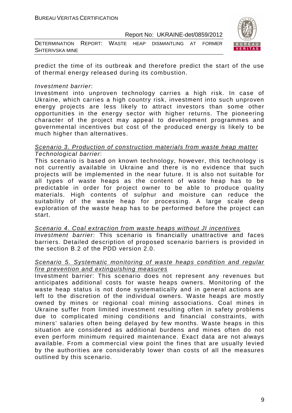| DETERMINATION REPORT: WASTE HEAP DISMANTLING AT FORMER |  |  |  |
|--------------------------------------------------------|--|--|--|
| <b>SHTERIVSKA MINE</b>                                 |  |  |  |



predict the time of its outbreak and therefore predict the start of the use of thermal energy released during its combustion.

#### Investment barrier:

Investment into unproven technology carries a high risk. In case of Ukraine, which carries a high country risk, investment into such unproven energy projects are less likely to attract investors than some other opportunities in the energy sector with higher returns. The pioneering character of the project may appeal to development programmes and governmental incentives but cost of the produced energy is likely to be much higher than alternatives.

#### Scenario 3. Production of construction materials from waste heap matter Technological barrier:

This scenario is based on known technology, however, this technology is not currently available in Ukraine and there is no evidence that such projects will be implemented in the near future. It is also not suitable for all types of waste heaps as the content of waste heap has to be predictable in order for project owner to be able to produce quality materials. High contents of sulphur and moisture can reduce the suitability of the waste heap for processing. A large scale deep exploration of the waste heap has to be performed before the project can start.

Scenario 4. Coal extraction from waste heaps without JI incentives Investment barrier: This scenario is financially unattractive and faces barriers. Detailed description of proposed scenario barriers is provided in the section B.2 of the PDD version 2.0.

#### Scenario 5. Systematic monitoring of waste heaps condition and regular fire prevention and extinguishing measures

Investment barrier: This scenario does not represent any revenues but anticipates additional costs for waste heaps owners. Monitoring of the waste heap status is not done systematically and in general actions are left to the discretion of the individual owners. Waste heaps are mostly owned by mines or regional coal mining associations. Coal mines in Ukraine suffer from limited investment resulting often in safety problems due to complicated mining conditions and financial constraints, with miners' salaries often being delayed by few months. Waste heaps in this situation are considered as additional burdens and mines often do not even perform minimum required maintenance. Exact data are not always available. From a commercial view point the fines that are usually levied by the authorities are considerably lower than costs of all the measures outlined by this scenario.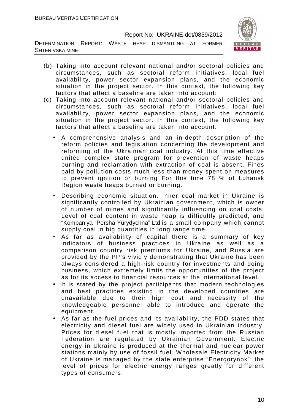DETERMINATION REPORT: WASTE HEAP DISMANTLING AT FORMER SHTERIVSKA MINE



- (b) Taking into account relevant national and/or sectoral policies and circumstances, such as sectoral reform initiatives, local fuel availability, power sector expansion plans, and the economic situation in the project sector. In this context, the following key factors that affect a baseline are taken into account:
- (c) Taking into account relevant national and/or sectoral policies and circumstances, such as sectoral reform initiatives, local fuel availability, power sector expansion plans, and the economic situation in the project sector. In this context, the following key factors that affect a baseline are taken into account:
	- A comprehensive analysis and an in-depth description of the reform policies and legislation concerning the development and reforming of the Ukrainian coal industry. At this time effective united complex state program for prevention of waste heaps burning and reclamation with extraction of coal is absent. Fines paid by pollution costs much less than money spent on measures to prevent ignition or burning For this time 78 % of Luhansk Region waste heaps burned or burning.
	- Describing economic situation. Inner coal market in Ukraine is significantly controlled by Ukrainian government, which is owner of number of mines and significantly influencing on coal costs. Level of coal content in waste heap is difficultly predicted, and "Kompaniya "Persha Yurydychna" Ltd is a small company which cannot supply coal in big quantities in long range time.
	- As far as availability of capital there is a summary of key indicators of business practices in Ukraine as well as a comparison country risk premiums for Ukraine, and Russia are provided by the PP's vividly demonstrating that Ukraine has been always considered a high-risk country for investments and doing business, which extremely limits the opportunities of the project as for its access to financial resources at the international level.
	- It is stated by the project participants that modern technologies and best practices existing in the developed countries are unavailable due to their high cost and necessity of the knowledgeable personnel able to introduce and operate the equipment.
	- As far as the fuel prices and its availability, the PDD states that electricity and diesel fuel are widely used in Ukrainian industry. Prices for diesel fuel that is mostly imported from the Russian Federation are regulated by Ukrainian Government. Electric energy in Ukraine is produced at the thermal and nuclear power stations mainly by use of fossil fuel. Wholesale Electricity Market of Ukraine is managed by the state enterprise "Energorynok"; the level of prices for electric energy ranges greatly for different types of consumers.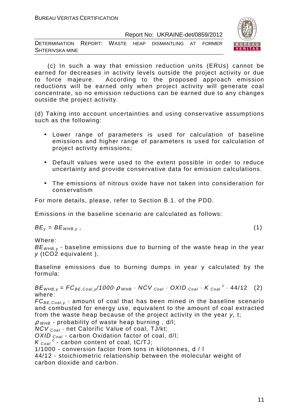DETERMINATION REPORT: WASTE HEAP DISMANTLING AT FORMER SHTERIVSKA MINE



 (c) In such a way that emission reduction units (ERUs) cannot be earned for decreases in activity levels outside the project activity or due to force majeure. According to the proposed approach emission reductions will be earned only when project activity will generate coal concentrate, so no emission reductions can be earned due to any changes outside the project activity.

(d) Taking into account uncertainties and using conservative assumptions such as the following:

- Lower range of parameters is used for calculation of baseline emissions and higher range of parameters is used for calculation of project activity emissions;
- Default values were used to the extent possible in order to reduce uncertainty and provide conservative data for emission calculations.
- The emissions of nitrous oxide have not taken into consideration for conservatism

For more details, please, refer to Section B.1. of the PDD.

Emissions in the baseline scenario are calculated as follows:

 $BE_v = BE_{WHB,v}$ , (1)

Where:

 $BE<sub>WHB,V</sub>$  - baseline emissions due to burning of the waste heap in the year y (tCO2 equivalent ),

Baseline emissions due to burning dumps in year y calculated by the formula:

 $BE_{WHB,y} = FC_{BE,Coal,y}/1000 \cdot \rho_{WHB} \cdot NCV_{Coal} \cdot OXID_{Coal} \cdot K_{Coal}^c \cdot 44/12$  (2) where:

 $FC_{BE, coal,v}$  - amount of coal that has been mined in the baseline scenario and combusted for energy use, equivalent to the amount of coal extracted from the waste heap because of the project activity in the year y, t;

 $\rho$  <sub>WHB</sub> - probability of waste heap burning, d/l;

 $NCV_{Coal}$  - net Calorific Value of coal, TJ/kt;

OXID  $_{Coal}$  - carbon Oxidation factor of coal, d/l;

 $K_{\text{Coal}}^c$  - carbon content of coal, tC/TJ;

1/1000 - conversion factor from tons in kilotonnes, d / l

44/12 - stoichiometric relationship between the molecular weight of carbon dioxide and carbon.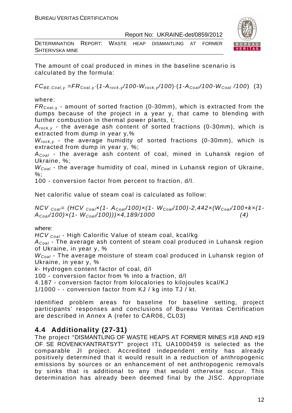DETERMINATION REPORT: WASTE HEAP DISMANTLING AT FORMER SHTERIVSKA MINE



The amount of coal produced in mines in the baseline scenario is calculated by the formula:

 $FC_{BE,Coal,v} = FR_{Coal,v} (1-A_{rock,v}/100-W_{rock,v}/100) (1-A_{Coal}/100-W_{Coal}/100)$  (3)

where:

 $FR_{\text{Coal,v}}$  - amount of sorted fraction (0-30mm), which is extracted from the dumps because of the project in a year y, that came to blending with further combustion in thermal power plants, t;

 $A_{rock, v}$  - the average ash content of sorted fractions (0-30mm), which is extracted from dump in year y,%

 $W_{rock, v}$  - the average humidity of sorted fractions (0-30mm), which is extracted from dump in year y, %;

 $A_{Coal}$  - the average ash content of coal, mined in Luhansk region of Ukraine, %;

 $W_{Coal}$  - the average humidity of coal, mined in Luhansk region of Ukraine,  $%$ :

100 - conversion factor from percent to fraction, d/l.

Net calorific value of steam coal is calculated as follow:

NCV  $_{Coal}$ = (HCV  $_{Coal}$ x(1- A<sub>Coal</sub>/100)x(1- W<sub>Coal</sub>/100)-2,442x(W<sub>Coal</sub>/100+kx(1- $A_{Coal}/100) \times (1-W_{Coal}/100)) \times 4,189/1000$  (4)

# where:

HCV <sub>Coal</sub> - High Calorific Value of steam coal, kcal/kq

 $A_{Coal}$  - The average ash content of steam coal produced in Luhansk region of Ukraine, in year y, %

 $W_{Coal}$  - The average moisture of steam coal produced in Luhansk region of Ukraine, in year y, %

k- Hydrogen content factor of coal, d/l

100 - conversion factor from % into a fraction, d/l

4.187 - conversion factor from kilocalories to kilojoules kcal/KJ

1/1000 - - conversion factor from KJ / kg into TJ / kt.

Identified problem areas for baseline for baseline setting, project participants' responses and conclusions of Bureau Veritas Certification are described in Annex A (refer to CAR06, СL03)

# **4.4 Additionality (27-31)**

The project "DISMANTLING OF WASTE HEAPS AT FORMER MINES #18 AND #19 OF SE ROVENKYANTRATSYT" project ITL UA1000459 is selected as the comparable JI project. Accredited independent entity has already positively determined that it would result in a reduction of anthropogenic emissions by sources or an enhancement of net anthropogenic removals by sinks that is additional to any that would otherwise occur. This determination has already been deemed final by the JISC. Appropriate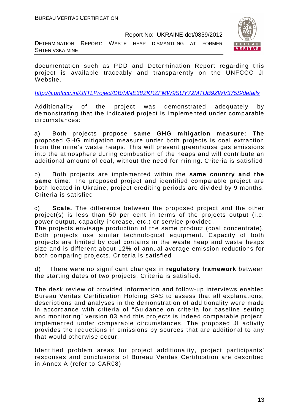DETERMINATION REPORT: WASTE HEAP DISMANTLING AT FORMER SHTERIVSKA MINE



documentation such as PDD and Determination Report regarding this project is available traceably and transparently on the UNFCCC JI Website.

http://ji.unfccc.int/JIITLProject/DB/MNE38ZKRZFMW9SUY72MTUB9ZWV375S/details

Additionality of the project was demonstrated adequately by demonstrating that the indicated project is implemented under comparable circumstances:

a) Both projects propose **same GHG mitigation measure:** The proposed GHG mitigation measure under both projects is coal extraction from the mine's waste heaps. This will prevent greenhouse gas emissions into the atmosphere during combustion of the heaps and will contribute an additional amount of coal, without the need for mining. Criteria is satisfied

b) Both projects are implemented within the **same country and the same time**: The proposed project and identified comparable project are both located in Ukraine, project crediting periods are divided by 9 months. Criteria is satisfied

c) **Scale.** The difference between the proposed project and the other project(s) is less than 50 per cent in terms of the projects output (i.e. power output, capacity increase, etc.) or service provided.

The projects envisage production of the same product (coal concentrate). Both projects use similar technological equipment. Capacity of both projects are limited by coal contains in the waste heap and waste heaps size and is different about 12% of annual average emission reductions for both comparing projects. Criteria is satisfied

d) There were no significant changes in **regulatory framework** between the starting dates of two projects. Criteria is satisfied.

The desk review of provided information and follow-up interviews enabled Bureau Veritas Certification Holding SAS to assess that all explanations, descriptions and analyses in the demonstration of additionality were made in accordance with criteria of "Guidance on criteria for baseline setting and monitoring" version 03 and this projects is indeed comparable project, implemented under comparable circumstances. The proposed JI activity provides the reductions in emissions by sources that are additional to any that would otherwise occur.

Identified problem areas for project additionality, project participants' responses and conclusions of Bureau Veritas Certification are described in Annex A (refer to CAR08)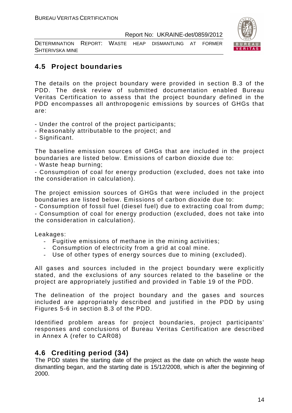DETERMINATION REPORT: WASTE HEAP DISMANTLING AT FORMER SHTERIVSKA MINE



# **4.5 Project boundaries**

The details on the project boundary were provided in section B.3 of the PDD. The desk review of submitted documentation enabled Bureau Veritas Certification to assess that the project boundary defined in the PDD encompasses all anthropogenic emissions by sources of GHGs that are:

- Under the control of the project participants;
- Reasonably attributable to the project; and
- Significant.

The baseline emission sources of GHGs that are included in the project boundaries are listed below. Emissions of carbon dioxide due to:

- Waste heap burning;

- Consumption of coal for energy production (excluded, does not take into the consideration in calculation).

The project emission sources of GHGs that were included in the project boundaries are listed below. Emissions of carbon dioxide due to:

- Consumption of fossil fuel (diesel fuel) due to extracting coal from dump; - Consumption of coal for energy production (excluded, does not take into

the consideration in calculation).

Leakages:

- Fugitive emissions of methane in the mining activities;
- Consumption of electricity from a grid at coal mine.
- Use of other types of energy sources due to mining (excluded).

All gases and sources included in the project boundary were explicitly stated, and the exclusions of any sources related to the baseline or the project are appropriately justified and provided in Table 19 of the PDD.

The delineation of the project boundary and the gases and sources included are appropriately described and justified in the PDD by using Figures 5-6 in section B.3 of the PDD.

Identified problem areas for project boundaries, project participants' responses and conclusions of Bureau Veritas Certification are described in Annex A (refer to CAR08)

# **4.6 Crediting period (34)**

The PDD states the starting date of the project as the date on which the waste heap dismantling began, and the starting date is 15/12/2008, which is after the beginning of 2000.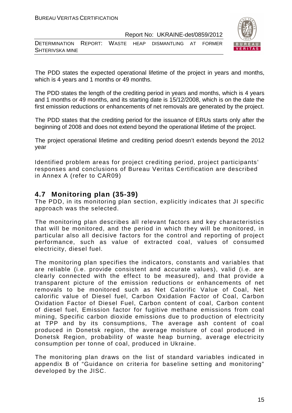DETERMINATION REPORT: WASTE HEAP DISMANTLING AT FORMER SHTERIVSKA MINE



The PDD states the expected operational lifetime of the project in years and months, which is 4 years and 1 months or 49 months.

The PDD states the length of the crediting period in years and months, which is 4 years and 1 months or 49 months, and its starting date is 15/12/2008, which is on the date the first emission reductions or enhancements of net removals are generated by the project.

The PDD states that the crediting period for the issuance of ERUs starts only after the beginning of 2008 and does not extend beyond the operational lifetime of the project.

The project operational lifetime and crediting period doesn't extends beyond the 2012 year

Identified problem areas for project crediting period, project participants' responses and conclusions of Bureau Veritas Certification are described in Annex A (refer to CAR09)

# **4.7 Monitoring plan (35-39)**

The PDD, in its monitoring plan section, explicitly indicates that JI specific approach was the selected.

The monitoring plan describes all relevant factors and key characteristics that will be monitored, and the period in which they will be monitored, in particular also all decisive factors for the control and reporting of project performance, such as value of extracted coal, values of consumed electricity, diesel fuel.

The monitoring plan specifies the indicators, constants and variables that are reliable (i.e. provide consistent and accurate values), valid (i.e. are clearly connected with the effect to be measured), and that provide a transparent picture of the emission reductions or enhancements of net removals to be monitored such as Net Calorific Value of Coal, Net calorific value of Diesel fuel, Carbon Oxidation Factor of Coal, Carbon Oxidation Factor of Diesel Fuel, Carbon content of coal, Carbon content of diesel fuel, Emission factor for fugitive methane emissions from coal mining, Specific carbon dioxide emissions due to production of electricity at TPP and by its consumptions, The average ash content of coal produced in Donetsk region, the average moisture of coal produced in Donetsk Region, probability of waste heap burning, average electricity consumption per tonne of coal, produced in Ukraine.

The monitoring plan draws on the list of standard variables indicated in appendix B of "Guidance on criteria for baseline setting and monitoring" developed by the JISC.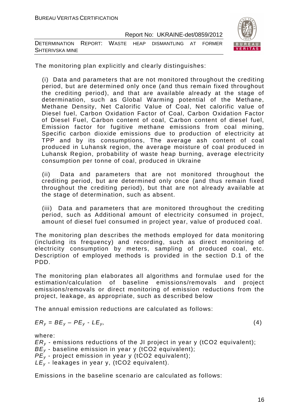| DETERMINATION REPORT: WASTE HEAP DISMANTLING AT FORMER |  |  |  |  |  |  |
|--------------------------------------------------------|--|--|--|--|--|--|
| <b>SHTERIVSKA MINE</b>                                 |  |  |  |  |  |  |



The monitoring plan explicitly and clearly distinguishes:

(i) Data and parameters that are not monitored throughout the crediting period, but are determined only once (and thus remain fixed throughout the crediting period), and that are available already at the stage of determination, such as Global Warming potential of the Methane, Methane Density, Net Calorific Value of Coal, Net calorific value of Diesel fuel, Carbon Oxidation Factor of Coal, Carbon Oxidation Factor of Diesel Fuel, Carbon content of coal, Carbon content of diesel fuel, Emission factor for fugitive methane emissions from coal mining, Specific carbon dioxide emissions due to production of electricity at TPP and by its consumptions, The average ash content of coal produced in Luhansk region, the average moisture of coal produced in Luhansk Region, probability of waste heap burning, average electricity consumption per tonne of coal, produced in Ukraine

(ii) Data and parameters that are not monitored throughout the crediting period, but are determined only once (and thus remain fixed throughout the crediting period), but that are not already available at the stage of determination, such as absent.

(iii) Data and parameters that are monitored throughout the crediting period, such as Additional amount of electricity consumed in project, amount of diesel fuel consumed in project year, value of produced coal.

The monitoring plan describes the methods employed for data monitoring (including its frequency) and recording, such as direct monitoring of electricity consumption by meters, sampling of produced coal, etc. Description of employed methods is provided in the section D.1 of the PDD.

The monitoring plan elaborates all algorithms and formulae used for the estimation/calculation of baseline emissions/removals and project emissions/removals or direct monitoring of emission reductions from the project, leakage, as appropriate, such as described below

The annual emission reductions are calculated as follows:

$$
ER_y = BE_y - PE_y - LE_y, \tag{4}
$$

where:

 $ER<sub>v</sub>$  - emissions reductions of the JI project in year y (tCO2 equivalent);  $BE_{y}$  - baseline emission in year y (tCO2 equivalent);  $PE_v$  - project emission in year y (tCO2 equivalent);  $LE_v$  - leakages in year y, (tCO2 equivalent).

Emissions in the baseline scenario are calculated as follows: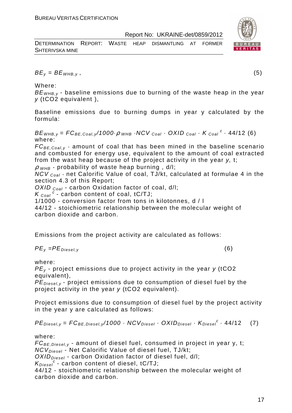| DETERMINATION REPORT: WASTE HEAP DISMANTLING AT FORMER |  |  |  |  |
|--------------------------------------------------------|--|--|--|--|
| <b>SHTERIVSKA MINE</b>                                 |  |  |  |  |



 $BE_v = BE_{WHB.v}$ , (5)

Where:

 $BE<sub>WHB,V</sub>$  - baseline emissions due to burning of the waste heap in the year y (tCO2 equivalent ),

Baseline emissions due to burning dumps in year y calculated by the formula:

 $BE_{\text{WHB},y} = FC_{BE,Coal,y}$ /1000 $\cdot \rho$  whb  $\cdot$  NCV  $_{Coal}$   $\cdot$  OXID  $_{Coal}$   $\cdot$  K  $_{Coal}$   $^c$   $\cdot$  44/12 (6) where:

 $FC_{BE,Coal,v}$  - amount of coal that has been mined in the baseline scenario and combusted for energy use, equivalent to the amount of coal extracted from the wast heap because of the project activity in the year y, t;

 $\rho$  w<sub>HB</sub> - probability of waste heap burning, d/l;

 $NCV_{Coal}$  - net Calorific Value of coal, TJ/kt, calculated at formulae 4 in the section 4.3 of this Report;

OXID  $_{Coal}$  - carbon Oxidation factor of coal, d/l;

 $K_{\text{Coal}}^c$  - carbon content of coal, tC/TJ;

1/1000 - conversion factor from tons in kilotonnes, d / l

44/12 - stoichiometric relationship between the molecular weight of carbon dioxide and carbon.

Emissions from the project activity are calculated as follows:

$$
PE_{y} = PE_{Diesel, y} \tag{6}
$$

where:

 $PE<sub>v</sub>$  - project emissions due to project activity in the year y (tCO2 equivalent),

 $PE_{\text{Diegley}}$  - project emissions due to consumption of diesel fuel by the project activity in the year y (tCO2 equivalent).

Project emissions due to consumption of diesel fuel by the project activity in the year y are calculated as follows:

$$
PEDiesel,y = FCBE,Diesel,y/1000 \cdot NCVDiesel \cdot OXIDDiesel \cdot KDiesel \cdot 44/12
$$
 (7)

where:

 $FC_{BE, Diesel, y}$  - amount of diesel fuel, consumed in project in year y, t;  $NCV_{Diesel}$  - Net Calorific Value of diesel fuel, TJ/kt;

 $OXID<sub>Diesel</sub>$  - carbon Oxidation factor of diesel fuel, d/l;

 $K_{Diesel}^c$  - carbon content of diesel, tC/TJ;

44/12 - stoichiometric relationship between the molecular weight of carbon dioxide and carbon.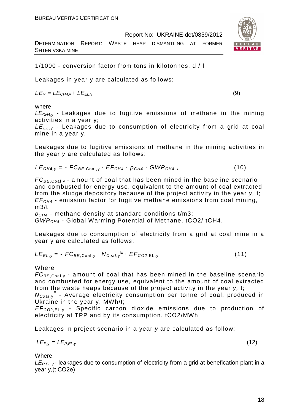| DETERMINATION REPORT: WASTE HEAP DISMANTLING AT FORMER |  |  |  |  |
|--------------------------------------------------------|--|--|--|--|
| <b>SHTERIVSKA MINE</b>                                 |  |  |  |  |

1/1000 - conversion factor from tons in kilotonnes, d / l

Leakages in year y are calculated as follows:

 $LE<sub>V</sub> = LE<sub>CH4,V</sub> + LE<sub>EL,V</sub>$  (9)

where

 $LE<sub>CH4y</sub>$  - Leakages due to fugitive emissions of methane in the mining activities in a year y;

 $LE_{EL, y}$  - Leakages due to consumption of electricity from a grid at coal mine in a year y.

Leakages due to fugitive emissions of methane in the mining activities in the year y are calculated as follows:

$$
LE_{\text{CH4},y} = -FC_{BE,Coal,y} \cdot EF_{CH4} \cdot \rho_{CH4} \cdot GWP_{CH4}, \qquad (10)
$$

 $FC_{BE, coal,v}$  - amount of coal that has been mined in the baseline scenario and combusted for energy use, equivalent to the amount of coal extracted from the sludge depository because of the project activity in the year y, t;  $EF<sub>CH4</sub>$  - emission factor for fugitive methane emissions from coal mining, m3/t;

 $\rho_{CH4}$  - methane density at standard conditions t/m3; GWPCH4 - Global Warming Potential of Methane, tСО2/ tСН4.

Leakages due to consumption of electricity from a grid at coal mine in a year y are calculated as follows:

$$
LE_{EL,y} = -FC_{BE,Coal,y} \cdot N_{Coal,y}^{E} \cdot EF_{CO2,EL,y}
$$
 (11)

Where

 $FC_{BE,Coal,v}$  - amount of coal that has been mined in the baseline scenario and combusted for energy use, equivalent to the amount of coal extracted from the waste heaps because of the project activity in the year y, t;

N<sub>Coal,y</sub><sup>E</sup> - Average electricity consumption per tonne of coal, produced in Ukraine in the year y, MWh/t;

EF<sup>C</sup>*О*2,EL, <sup>у</sup> - Specific carbon dioxide emissions due to production of electricity at TPP and by its consumption, tСО2/MWh

Leakages in project scenario in a year y are calculated as follow:

$$
LE_{P,y} = LE_{P,EL,y} \tag{12}
$$

**Where** 

 $LE_{P,FL,V}$ - leakages due to consumption of electricity from a grid at benefication plant in a year y,(t СО2е)

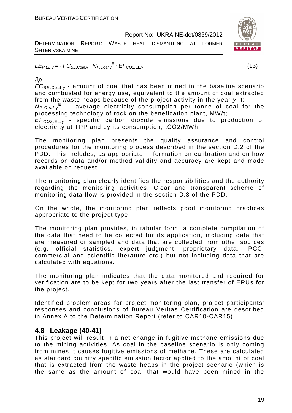| DETERMINATION REPORT: WASTE HEAP DISMANTLING AT FORMER |  |  |  | $\overline{B}$ |
|--------------------------------------------------------|--|--|--|----------------|
| SHTERIVSKA MINE                                        |  |  |  |                |



 $LE_{P,EL,y} = -FC_{BE,Coal,y} \cdot N_{P,Coal,y} E \cdot EF_{CO2,EL,y}$  (13)

# Де

 $FC_{BE,Coal,v}$  - amount of coal that has been mined in the baseline scenario and combusted for energy use, equivalent to the amount of coal extracted from the waste heaps because of the project activity in the year y, t;

 $N_{P,Coal,y}$ <sup>E</sup> - average electricity consumption per tonne of coal for the processing technology of rock on the benefication plant, MW/t;

EF<sup>C</sup>*О*2,EL, <sup>у</sup> - specific carbon dioxide emissions due to production of electricity at TPP and by its consumption, tСО2/MWh;

The monitoring plan presents the quality assurance and control procedures for the monitoring process described in the section D.2 of the PDD. This includes, as appropriate, information on calibration and on how records on data and/or method validity and accuracy are kept and made available on request.

The monitoring plan clearly identifies the responsibilities and the authority regarding the monitoring activities. Clear and transparent scheme of monitoring data flow is provided in the section D.3 of the PDD.

On the whole, the monitoring plan reflects good monitoring practices appropriate to the project type.

The monitoring plan provides, in tabular form, a complete compilation of the data that need to be collected for its application, including data that are measured or sampled and data that are collected from other sources (e.g. official statistics, expert judgment, proprietary data, IPCC, commercial and scientific literature etc.) but not including data that are calculated with equations.

The monitoring plan indicates that the data monitored and required for verification are to be kept for two years after the last transfer of ERUs for the project.

Identified problem areas for project monitoring plan, project participants' responses and conclusions of Bureau Veritas Certification are described in Annex A to the Determination Report (refer to CAR10-CAR15)

# **4.8 Leakage (40-41)**

This project will result in a net change in fugitive methane emissions due to the mining activities. As coal in the baseline scenario is only coming from mines it causes fugitive emissions of methane. These are calculated as standard country specific emission factor applied to the amount of coal that is extracted from the waste heaps in the project scenario (which is the same as the amount of coal that would have been mined in the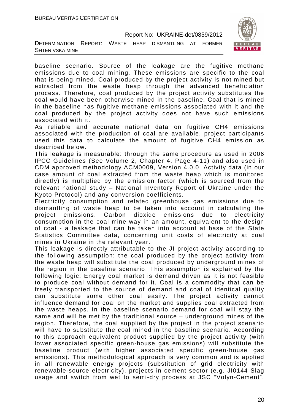| DETERMINATION REPORT: WASTE HEAP DISMANTLING AT FORMER |  |  |  |
|--------------------------------------------------------|--|--|--|
| SHTERIVSKA MINE                                        |  |  |  |



As reliable and accurate national data on fugitive CH4 emissions associated with the production of coal are available, project participants used this data to calculate the amount of fugitive CH4 emission as described below.

This leakage is measurable: through the same procedure as used in 2006 IPCC Guidelines (See Volume 2, Chapter 4, Page 4-11) and also used in CDM approved methodology ACM0009, Version 4.0.0. Activity data (in our case amount of coal extracted from the waste heap which is monitored directly) is multiplied by the emission factor (which is sourced from the relevant national study – National Inventory Report of Ukraine under the Kyoto Protocol) and any conversion coefficients.

Electricity consumption and related greenhouse gas emissions due to dismantling of waste heap to be taken into account in calculating the project emissions. Carbon dioxide emissions due to electricity consumption in the coal mine way in an amount, equivalent to the design of coal - a leakage that can be taken into account at base of the State Statistics Committee data, concerning unit costs of electricity at coal mines in Ukraine in the relevant year.

This leakage is directly attributable to the JI project activity according to the following assumption: the coal produced by the project activity from the waste heap will substitute the coal produced by underground mines of the region in the baseline scenario. This assumption is explained by the following logic: Energy coal market is demand driven as it is not feasible to produce coal without demand for it. Coal is a commodity that can be freely transported to the source of demand and coal of identical quality can substitute some other coal easily. The project activity cannot influence demand for coal on the market and supplies coal extracted from the waste heaps. In the baseline scenario demand for coal will stay the same and will be met by the traditional source – underground mines of the region. Therefore, the coal supplied by the project in the project scenario will have to substitute the coal mined in the baseline scenario. According to this approach equivalent product supplied by the project activity (with lower associated specific green-house gas emissions) will substitute the baseline product (with higher associated specific green-house gas emissions). This methodological approach is very common and is applied in all renewable energy projects (substitution of grid electricity with renewable-source electricity), projects in cement sector (e.g. JI0144 Slag usage and switch from wet to semi-dry process at JSC "Volyn-Cement",

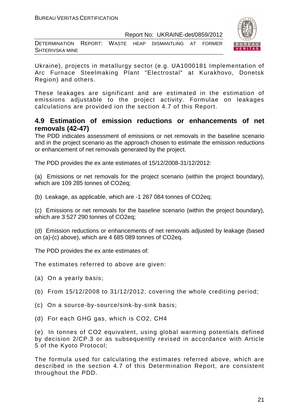DETERMINATION REPORT: WASTE HEAP DISMANTLING AT FORMER SHTERIVSKA MINE



Ukraine), projects in metallurgy sector (e.g. UA1000181 Implementation of Arc Furnace Steelmaking Plant "Electrostal" at Kurakhovo, Donetsk Region) and others.

These leakages are significant and are estimated in the estimation of emissions adjustable to the project activity. Formulae on leakages calculations are provided ion the section 4.7 of this Report.

# **4.9 Estimation of emission reductions or enhancements of net removals (42-47)**

The PDD indicates assessment of emissions or net removals in the baseline scenario and in the project scenario as the approach chosen to estimate the emission reductions or enhancement of net removals generated by the project.

The PDD provides the ex ante estimates of 15/12/2008-31/12/2012:

(a) Emissions or net removals for the project scenario (within the project boundary), which are 109 285 tonnes of CO2eq;

(b) Leakage, as applicable, which are -1 267 084 tonnes of CO2eq;

(c) Emissions or net removals for the baseline scenario (within the project boundary), which are 3 527 290 tonnes of CO2eq;

(d) Emission reductions or enhancements of net removals adjusted by leakage (based on (a)-(c) above), which are 4 685 089 tonnes of CO2eq.

The PDD provides the ex ante estimates of:

The estimates referred to above are given:

- (a) On a yearly basis;
- (b) From 15/12/2008 to 31/12/2012, covering the whole crediting period;
- (c) On a source-by-source/sink-by-sink basis;
- (d) For each GHG gas, which is CO2, СН4

(e) In tonnes of CO2 equivalent, using global warming potentials defined by decision 2/CP.3 or as subsequently revised in accordance with Article 5 of the Kyoto Protocol;

The formula used for calculating the estimates referred above, which are described in the section 4.7 of this Determination Report, are consistent throughout the PDD.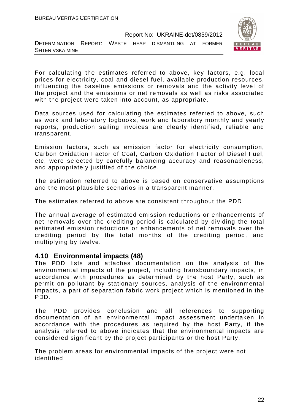

DETERMINATION REPORT: WASTE HEAP DISMANTLING AT FORMER SHTERIVSKA MINE

For calculating the estimates referred to above, key factors, e.g. local prices for electricity, coal and diesel fuel, available production resources, influencing the baseline emissions or removals and the activity level of the project and the emissions or net removals as well as risks associated with the project were taken into account, as appropriate.

Data sources used for calculating the estimates referred to above, such as work and laboratory logbooks, work and laboratory monthly and yearly reports, production sailing invoices are clearly identified, reliable and transparent.

Emission factors, such as emission factor for electricity consumption, Carbon Oxidation Factor of Coal, Carbon Oxidation Factor of Diesel Fuel, etc, were selected by carefully balancing accuracy and reasonableness, and appropriately justified of the choice.

The estimation referred to above is based on conservative assumptions and the most plausible scenarios in a transparent manner.

The estimates referred to above are consistent throughout the PDD.

The annual average of estimated emission reductions or enhancements of net removals over the crediting period is calculated by dividing the total estimated emission reductions or enhancements of net removals over the crediting period by the total months of the crediting period, and multiplying by twelve.

# **4.10 Environmental impacts (48)**

The PDD lists and attaches documentation on the analysis of the environmental impacts of the project, including transboundary impacts, in accordance with procedures as determined by the host Party, such as permit on pollutant by stationary sources, analysis of the environmental impacts, a part of separation fabric work project which is mentioned in the PDD.

The PDD provides conclusion and all references to supporting documentation of an environmental impact assessment undertaken in accordance with the procedures as required by the host Party, if the analysis referred to above indicates that the environmental impacts are considered significant by the project participants or the host Party.

The problem areas for environmental impacts of the project were not identified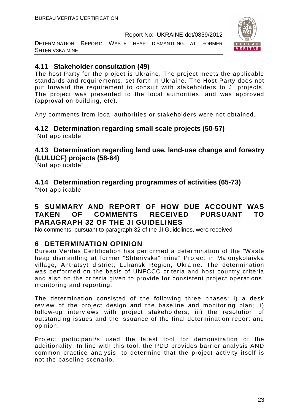DETERMINATION REPORT: WASTE HEAP DISMANTLING AT FORMER SHTERIVSKA MINE



# **4.11 Stakeholder consultation (49)**

The host Party for the project is Ukraine. The project meets the applicable standards and requirements, set forth in Ukraine. The Host Party does not put forward the requirement to consult with stakeholders to JI projects. The project was presented to the local authorities, and was approved (approval on building, etc).

Any comments from local authorities or stakeholders were not obtained.

**4.12 Determination regarding small scale projects (50-57)**  "Not applicable"

# **4.13 Determination regarding land use, land-use change and forestry (LULUCF) projects (58-64)**

"Not applicable"

**4.14 Determination regarding programmes of activities (65-73)** 

"Not applicable"

# **5 SUMMARY AND REPORT OF HOW DUE ACCOUNT WAS TAKEN OF COMMENTS RECEIVED PURSUANT TO PARAGRAPH 32 OF THE JI GUIDELINES**

No comments, pursuant to paragraph 32 of the JI Guidelines, were received

# **6 DETERMINATION OPINION**

Bureau Veritas Certification has performed a determination of the "Waste heap dismantling at former "Shterivska" mine" Project in Malonykolaivka village, Antratsyt district, Luhansk Region, Ukraine. The determination was performed on the basis of UNFCCC criteria and host country criteria and also on the criteria given to provide for consistent project operations, monitoring and reporting.

The determination consisted of the following three phases: i) a desk review of the project design and the baseline and monitoring plan; ii) follow-up interviews with project stakeholders; iii) the resolution of outstanding issues and the issuance of the final determination report and opinion.

Project participant/s used the latest tool for demonstration of the additionality. In line with this tool, the PDD provides barrier analysis AND common practice analysis, to determine that the project activity itself is not the baseline scenario.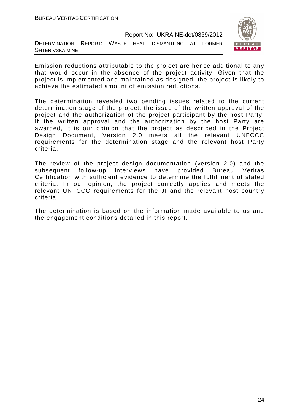



Emission reductions attributable to the project are hence additional to any that would occur in the absence of the project activity. Given that the project is implemented and maintained as designed, the project is likely to achieve the estimated amount of emission reductions.

The determination revealed two pending issues related to the current determination stage of the project: the issue of the written approval of the project and the authorization of the project participant by the host Party. If the written approval and the authorization by the host Party are awarded, it is our opinion that the project as described in the Project Design Document, Version 2.0 meets all the relevant UNFCCC requirements for the determination stage and the relevant host Party criteria.

The review of the project design documentation (version 2.0) and the subsequent follow-up interviews have provided Bureau Veritas Certification with sufficient evidence to determine the fulfillment of stated criteria. In our opinion, the project correctly applies and meets the relevant UNFCCC requirements for the JI and the relevant host country criteria.

The determination is based on the information made available to us and the engagement conditions detailed in this report.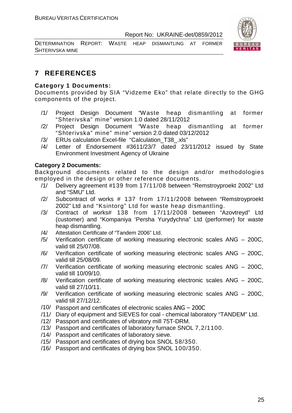DETERMINATION REPORT: WASTE HEAP DISMANTLING AT FORMER SHTERIVSKA MINE

# **7 REFERENCES**

# **Category 1 Documents:**

Documents provided by SIA "Vidzeme Eko" that relate directly to the GHG components of the project.

- /1/ Project Design Document "Waste heap dismantling at former "Shterivska" mine" version 1.0 dated 28/11/2012
- /2/ Project Design Document "Waste heap dismantling at former "Shterivska" mine" mine" version 2.0 dated 03/12/2012
- /3/ ERUs calculation Excel-file "Calculation\_T38\_.xls"
- /4/ Letter of Endorsement #3611/23/7 dated 23/11/2012 issued by State Environment Investment Agency of Ukraine

# **Category 2 Documents:**

Background documents related to the design and/or methodologies employed in the design or other reference documents.

- /1/ Delivery agreement #139 from 17/11/08 between "Remstroyproekt 2002" Ltd and "SMU" Ltd.
- /2/ Subcontract of works # 137 from 17/11/2008 between "Remstroyproekt 2002" Ltd and "Ksintorg" Ltd for waste heap dismantling.
- /3/ Contract of works# 138 from 17/11/2008 between "Azovtreyd" Ltd (customer) and "Kompaniya 'Persha Yurydychna" Ltd (performer) for waste heap dismantling.
- /4/ Attestation Certificate of "Tandem 2006" Ltd.
- /5/ Verification certificate of working measuring electronic scales ANG 200C, valid till 25/07/08.
- /6/ Verification certificate of working measuring electronic scales ANG 200C, valid till 25/08/09.
- /7/ Verification certificate of working measuring electronic scales ANG 200C, valid till 10/09/10.
- /8/ Verification certificate of working measuring electronic scales ANG 200C, valid till 27/10/11.
- /9/ Verification certificate of working measuring electronic scales ANG 200C, valid till 27/12/12.
- /10/ Passport and certificates of electronic scales ANG 200C
- /11/ Diary of equipment and SIEVES for coal chemical laboratory "TANDEM" Ltd.
- /12/ Passport and certificates of vibratory mill 75T-DRM.
- /13/ Passport and certificates of laboratory furnace SNOL 7,2/1100.
- /14/ Passport and certificates of laboratory sieve.
- /15/ Passport and certificates of drying box SNOL 58/350.
- /16/ Passport and certificates of drying box SNOL 100/350.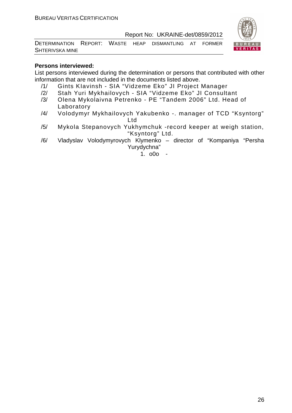

DETERMINATION REPORT: WASTE HEAP DISMANTLING AT FORMER SHTERIVSKA MINE

# **Persons interviewed:**

List persons interviewed during the determination or persons that contributed with other information that are not included in the documents listed above.

- /1/ Gints KIavinsh SIA "Vidzeme Eko" JI Project Manager
- /2/ Stah Yuri Mykhailovych SIA "Vidzeme Eko" JI Consultant
- /3/ Olena Mykolaivna Petrenko PE "Tandem 2006" Ltd. Head of Laboratory
- /4/ Volodymyr Mykhailovych Yakubenko -. manager of TCD "Ksyntorg" Ltd
- /5/ Mykola Stepanovych Yukhymchuk -record keeper at weigh station, "Ksyntorg" Ltd.
- /6/ Vladyslav Volodymyrovych Klymenko director of "Kompaniya "Persha Yurydychna"

1. o0o -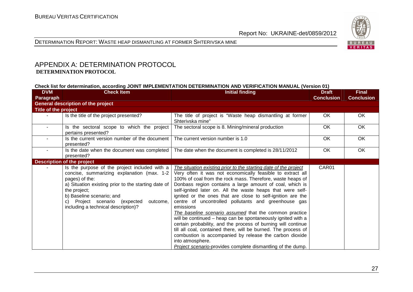

#### DETERMINATION REPORT: WASTE HEAP DISMANTLING AT FORMER SHTERIVSKA MINE

# APPENDIX A: DETERMINATION PROTOCOL  **DETERMINATION PROTOCOL**

#### **Check list for determination, according JOINT IMPLEMENTATION DETERMINATION AND VERIFICATION MANUAL (Version 01)**

| <b>DVM</b><br>Paragraph | <b>Check Item</b>                                                                                                                                                                                                                                                                                        | <b>Initial finding</b>                                                                                                                                                                                                                                                                                                                                                                                                                                                                                                                                                                                                                                                                                                                                                                                                                                                | <b>Draft</b><br><b>Conclusion</b> | <b>Final</b><br><b>Conclusion</b> |
|-------------------------|----------------------------------------------------------------------------------------------------------------------------------------------------------------------------------------------------------------------------------------------------------------------------------------------------------|-----------------------------------------------------------------------------------------------------------------------------------------------------------------------------------------------------------------------------------------------------------------------------------------------------------------------------------------------------------------------------------------------------------------------------------------------------------------------------------------------------------------------------------------------------------------------------------------------------------------------------------------------------------------------------------------------------------------------------------------------------------------------------------------------------------------------------------------------------------------------|-----------------------------------|-----------------------------------|
|                         | <b>General description of the project</b>                                                                                                                                                                                                                                                                |                                                                                                                                                                                                                                                                                                                                                                                                                                                                                                                                                                                                                                                                                                                                                                                                                                                                       |                                   |                                   |
| Title of the project    |                                                                                                                                                                                                                                                                                                          |                                                                                                                                                                                                                                                                                                                                                                                                                                                                                                                                                                                                                                                                                                                                                                                                                                                                       |                                   |                                   |
|                         | Is the title of the project presented?                                                                                                                                                                                                                                                                   | The title of project is "Waste heap dismantling at former<br>Shterivska mine"                                                                                                                                                                                                                                                                                                                                                                                                                                                                                                                                                                                                                                                                                                                                                                                         | OK                                | OK                                |
| $\sim$                  | Is the sectoral scope to which the project<br>pertains presented?                                                                                                                                                                                                                                        | The sectoral scope is 8. Mining/mineral production                                                                                                                                                                                                                                                                                                                                                                                                                                                                                                                                                                                                                                                                                                                                                                                                                    | OK                                | OK                                |
|                         | Is the current version number of the document<br>presented?                                                                                                                                                                                                                                              | The current version number is 1.0                                                                                                                                                                                                                                                                                                                                                                                                                                                                                                                                                                                                                                                                                                                                                                                                                                     | OK                                | OK                                |
| $\sim$                  | Is the date when the document was completed<br>presented?                                                                                                                                                                                                                                                | The date when the document is completed is 28/11/2012                                                                                                                                                                                                                                                                                                                                                                                                                                                                                                                                                                                                                                                                                                                                                                                                                 | OK                                | OK                                |
|                         | <b>Description of the project</b>                                                                                                                                                                                                                                                                        |                                                                                                                                                                                                                                                                                                                                                                                                                                                                                                                                                                                                                                                                                                                                                                                                                                                                       |                                   |                                   |
|                         | Is the purpose of the project included with a<br>concise, summarizing explanation (max. 1-2<br>pages) of the:<br>a) Situation existing prior to the starting date of<br>the project;<br>b) Baseline scenario; and<br>Project scenario (expected<br>outcome,<br>C)<br>including a technical description)? | The situation existing prior to the starting date of the project<br>Very often it was not economically feasible to extract all<br>100% of coal from the rock mass. Therefore, waste heaps of<br>Donbass region contains a large amount of coal, which is<br>self-ignited later on. All the waste heaps that were self-<br>ignited or the ones that are close to self-ignition are the<br>centre of uncontrolled pollutants and greenhouse gas<br>emissions<br>The baseline scenario assumed that the common practice<br>will be continued – heap can be spontaneously ignited with a<br>certain probability, and the process of burning will continue<br>till all coal, contained there, will be burned. The process of<br>combustion is accompanied by release the carbon dioxide<br>into atmosphere.<br>Project scenario-provides complete dismantling of the dump. | CAR01                             |                                   |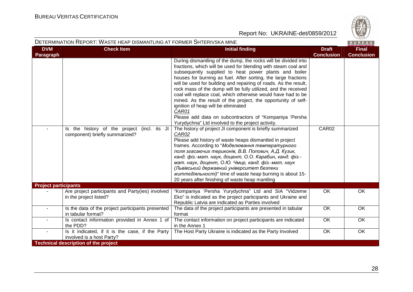

#### DETERMINATION REPORT: WASTE HEAP DISMANTLING AT FORMER SHTERIVSKA MINE

| <b>DVM</b><br>Paragraph     | <b>Check Item</b>                                                             | <b>Initial finding</b>                                                                                                                                                                                                                                                                                                                                                                                                                                                                                                                                                                                                                                                                                                                                                   | <b>Draft</b><br><b>Conclusion</b> | <b>Final</b><br><b>Conclusion</b> |
|-----------------------------|-------------------------------------------------------------------------------|--------------------------------------------------------------------------------------------------------------------------------------------------------------------------------------------------------------------------------------------------------------------------------------------------------------------------------------------------------------------------------------------------------------------------------------------------------------------------------------------------------------------------------------------------------------------------------------------------------------------------------------------------------------------------------------------------------------------------------------------------------------------------|-----------------------------------|-----------------------------------|
|                             | Is the history of the project (incl. its JI<br>component) briefly summarized? | During dismantling of the dump, the rocks will be divided into<br>fractions, which will be used for blending with steam coal and<br>subsequently supplied to heat power plants and boiler<br>houses for burning as fuel. After sorting, the large fractions<br>will be used for building and repairing of roads. As the result,<br>rock mass of the dump will be fully utilized, and the received<br>coal will replace coal, which otherwise would have had to be<br>mined. As the result of the project, the opportunity of self-<br>ignition of heap will be eliminated<br>CAR01<br>Please add data on subcontractors of "Kompaniya 'Persha<br>Yurydychna" Ltd involved to the project activity.<br>The history of project JI component is briefly summarized<br>CAR02 | CAR02                             |                                   |
|                             |                                                                               | Please add history of waste heaps dismantled in project<br>frames. According to "Моделювання температурного<br>поля згасаючих териконів, В.В. Попович, А.Д. Кузик,<br>канд. фіз.-мат. наук, доцент, О.О. Карабин, канд. фіз.-<br>мат. наук, доцент, О.Ю. Чмир, канд. фіз.-мат. наук<br>(Львівський державний університет безпеки<br>життедіяльності)" time of waste heap burning is about 15-<br>20 years after finishing of waste heap mantling                                                                                                                                                                                                                                                                                                                         |                                   |                                   |
| <b>Project participants</b> |                                                                               |                                                                                                                                                                                                                                                                                                                                                                                                                                                                                                                                                                                                                                                                                                                                                                          |                                   |                                   |
|                             | Are project participants and Party(ies) involved<br>in the project listed?    | "Kompaniya 'Persha Yurydychna" Ltd and SIA "Vidzeme<br>Eko" is indicated as the project participants and Ukraine and<br>Republic Latvia are indicated as Parties involved                                                                                                                                                                                                                                                                                                                                                                                                                                                                                                                                                                                                | OK                                | OK                                |
| ÷.                          | Is the data of the project participants presented<br>in tabular format?       | The data of the project participants are presented in tabular<br>format                                                                                                                                                                                                                                                                                                                                                                                                                                                                                                                                                                                                                                                                                                  | OK                                | OK                                |
|                             | Is contact information provided in Annex 1 of<br>the PDD?                     | The contact information on project participants are indicated<br>in the Annex 1                                                                                                                                                                                                                                                                                                                                                                                                                                                                                                                                                                                                                                                                                          | OK                                | $\overline{OK}$                   |
|                             | Is it indicated, if it is the case, if the Party<br>involved is a host Party? | The Host Party Ukraine is indicated as the Party Involved                                                                                                                                                                                                                                                                                                                                                                                                                                                                                                                                                                                                                                                                                                                | OK                                | OK                                |
|                             | <b>Technical description of the project</b>                                   |                                                                                                                                                                                                                                                                                                                                                                                                                                                                                                                                                                                                                                                                                                                                                                          |                                   |                                   |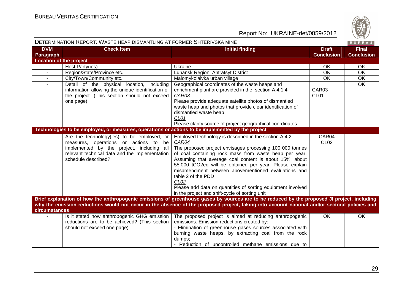

| DETERMINATION REPORT: WASTE HEAP DISMANTLING AT FORMER SHTERIVSKA MINE |                                                                                                  |                                                                                                                                               |                   | BUREAU            |
|------------------------------------------------------------------------|--------------------------------------------------------------------------------------------------|-----------------------------------------------------------------------------------------------------------------------------------------------|-------------------|-------------------|
| <b>DVM</b>                                                             | <b>Check Item</b>                                                                                | <b>Initial finding</b>                                                                                                                        | <b>Draft</b>      | <b>Final</b>      |
| Paragraph                                                              |                                                                                                  |                                                                                                                                               | <b>Conclusion</b> | <b>Conclusion</b> |
| <b>Location of the project</b>                                         |                                                                                                  |                                                                                                                                               |                   |                   |
|                                                                        | Host Party(ies)                                                                                  | Ukraine                                                                                                                                       | <b>OK</b>         | OK                |
|                                                                        | Region/State/Province etc.                                                                       | Luhansk Region, Antratsyt District                                                                                                            | OK                | OK                |
|                                                                        | City/Town/Community etc.                                                                         | Malomykolaivka urban village                                                                                                                  | OK                | OK                |
|                                                                        | Detail of the physical location, including                                                       | Geographical coordinates of the waste heaps and                                                                                               |                   | OK                |
|                                                                        | information allowing the unique identification of                                                | enrichment plant are provided in the section A.4.1.4                                                                                          | CAR03             |                   |
|                                                                        | the project. (This section should not exceed                                                     | CAR03                                                                                                                                         | CL <sub>01</sub>  |                   |
|                                                                        | one page)                                                                                        | Please provide adequate satellite photos of dismantled<br>waste heap and photos that provide clear identification of                          |                   |                   |
|                                                                        |                                                                                                  | dismantled waste heap                                                                                                                         |                   |                   |
|                                                                        |                                                                                                  | CL01                                                                                                                                          |                   |                   |
|                                                                        |                                                                                                  | Please clarify source of project geographical coordinates                                                                                     |                   |                   |
|                                                                        | Technologies to be employed, or measures, operations or actions to be implemented by the project |                                                                                                                                               |                   |                   |
|                                                                        | Are the technology(ies) to be employed, or                                                       | Employed technology is described in the section A.4.2                                                                                         | CAR04             |                   |
|                                                                        | measures, operations or actions to be                                                            | CAR04                                                                                                                                         | <b>CL02</b>       |                   |
|                                                                        | implemented by the project, including all                                                        | The proposed project envisages processing 100 000 tonnes                                                                                      |                   |                   |
|                                                                        | relevant technical data and the implementation                                                   | of coal containing rock mass from waste heap per year.                                                                                        |                   |                   |
|                                                                        | schedule described?                                                                              | Assuming that average coal content is about 15%, about                                                                                        |                   |                   |
|                                                                        |                                                                                                  | 55 000 tCO2eq will be obtained per year. Please explain                                                                                       |                   |                   |
|                                                                        |                                                                                                  | misamendment between abovementioned evaluations and                                                                                           |                   |                   |
|                                                                        |                                                                                                  | table 2 of the PDD                                                                                                                            |                   |                   |
|                                                                        |                                                                                                  | CL <sub>02</sub>                                                                                                                              |                   |                   |
|                                                                        |                                                                                                  | Please add data on quantities of sorting equipment involved                                                                                   |                   |                   |
|                                                                        |                                                                                                  | in the project and shift-cycle of sorting unit                                                                                                |                   |                   |
|                                                                        |                                                                                                  | Brief explanation of how the anthropogenic emissions of greenhouse gases by sources are to be reduced by the proposed JI project, including   |                   |                   |
|                                                                        |                                                                                                  | why the emission reductions would not occur in the absence of the proposed project, taking into account national and/or sectoral policies and |                   |                   |
| <b>circumstances</b>                                                   |                                                                                                  |                                                                                                                                               |                   |                   |
|                                                                        | Is it stated how anthropogenic GHG emission                                                      | The proposed project is aimed at reducing anthropogenic                                                                                       | OK                | OK                |
|                                                                        | reductions are to be achieved? (This section                                                     | emissions. Emission reductions created by:                                                                                                    |                   |                   |
|                                                                        | should not exceed one page)                                                                      | - Elimination of greenhouse gases sources associated with                                                                                     |                   |                   |
|                                                                        |                                                                                                  | burning waste heaps, by extracting coal from the rock                                                                                         |                   |                   |
|                                                                        |                                                                                                  | dumps;                                                                                                                                        |                   |                   |
|                                                                        |                                                                                                  | - Reduction of uncontrolled methane emissions due to                                                                                          |                   |                   |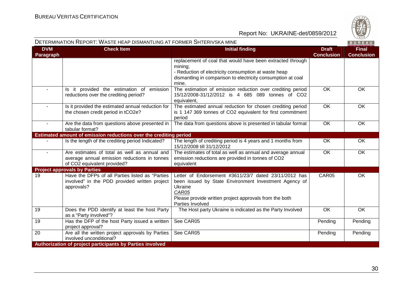

#### DETERMINATION REPORT: WASTE HEAP DISMANTLING AT FORMER SHTERIVSKA MINE

|  |  | . . |  |
|--|--|-----|--|
|  |  |     |  |

| <b>DVM</b><br><b>Paragraph</b> | <b>Check Item</b>                                                                                                           | <b>Initial finding</b>                                                                                                                                                                                           | <b>Draft</b><br><b>Conclusion</b> | <b>Final</b><br><b>Conclusion</b> |
|--------------------------------|-----------------------------------------------------------------------------------------------------------------------------|------------------------------------------------------------------------------------------------------------------------------------------------------------------------------------------------------------------|-----------------------------------|-----------------------------------|
|                                |                                                                                                                             | replacement of coal that would have been extracted through<br>mining;<br>- Reduction of electricity consumption at waste heap<br>dismantling in comparison to electricity consumption at coal<br>mine.           |                                   |                                   |
| $\sim$                         | Is it provided the estimation of emission<br>reductions over the crediting period?                                          | The estimation of emission reduction over crediting period<br>15/12/2008-31/12/2012 is 4 685 089 tonnes of CO2<br>equivalent,                                                                                    | $\overline{OK}$                   | OK                                |
|                                | Is it provided the estimated annual reduction for<br>the chosen credit period in tCO2e?                                     | The estimated annual reduction for chosen crediting period<br>is 1 147 369 tonnes of CO2 equivalent for first commitment<br>period                                                                               | OK                                | OK                                |
| $\overline{\phantom{a}}$       | Are the data from questions above presented in<br>tabular format?                                                           | The data from questions above is presented in tabular format                                                                                                                                                     | $\overline{OK}$                   | OK                                |
|                                | Estimated amount of emission reductions over the crediting period                                                           |                                                                                                                                                                                                                  |                                   |                                   |
|                                | Is the length of the crediting period Indicated?                                                                            | The length of crediting period is 4 years and 1 months from<br>15/12/2008 till 31/12/2012                                                                                                                        | OK                                | <b>OK</b>                         |
|                                | Are estimates of total as well as annual and<br>average annual emission reductions in tonnes<br>of CO2 equivalent provided? | The estimates of total as well as annual and average annual<br>emission reductions are provided in tonnes of CO2<br>equivalent                                                                                   | OK                                | OK                                |
|                                | <b>Project approvals by Parties</b>                                                                                         |                                                                                                                                                                                                                  |                                   |                                   |
| 19                             | Have the DFPs of all Parties listed as "Parties<br>involved" in the PDD provided written project<br>approvals?              | Letter of Endorsement #3611/23/7 dated 23/11/2012 has<br>been issued by State Environment Investment Agency of<br>Ukraine<br>CAR05<br>Please provide written project approvals from the both<br>Parties Involved | CAR05                             | OK                                |
| 19                             | Does the PDD identify at least the host Party<br>as a "Party involved"?                                                     | The Host party Ukraine is indicated as the Party Involved                                                                                                                                                        | OK                                | $\overline{OK}$                   |
| 19                             | Has the DFP of the host Party issued a written<br>project approval?                                                         | See CAR05                                                                                                                                                                                                        | Pending                           | Pending                           |
| 20                             | Are all the written project approvals by Parties<br>involved unconditional?                                                 | See CAR05                                                                                                                                                                                                        | Pending                           | Pending                           |
|                                | Authorization of project participants by Parties involved                                                                   |                                                                                                                                                                                                                  |                                   |                                   |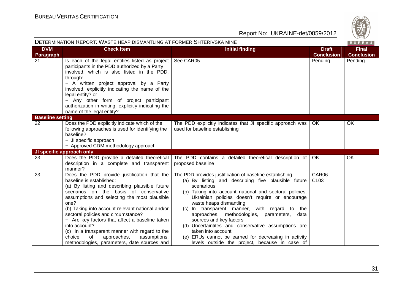

|                         | DETERMINATION REPORT: WASTE HEAP DISMANTLING AT FORMER SHTERIVSKA MINE                                                                                                                                                                                                                                                                                                                                                                                                                                                                    |                                                                                                                                                                                                                                                                                                                                                                                                                                                                                                                                                                                         |                                   | BUREAU                            |
|-------------------------|-------------------------------------------------------------------------------------------------------------------------------------------------------------------------------------------------------------------------------------------------------------------------------------------------------------------------------------------------------------------------------------------------------------------------------------------------------------------------------------------------------------------------------------------|-----------------------------------------------------------------------------------------------------------------------------------------------------------------------------------------------------------------------------------------------------------------------------------------------------------------------------------------------------------------------------------------------------------------------------------------------------------------------------------------------------------------------------------------------------------------------------------------|-----------------------------------|-----------------------------------|
| <b>DVM</b><br>Paragraph | <b>Check Item</b>                                                                                                                                                                                                                                                                                                                                                                                                                                                                                                                         | <b>Initial finding</b>                                                                                                                                                                                                                                                                                                                                                                                                                                                                                                                                                                  | <b>Draft</b><br><b>Conclusion</b> | <b>Final</b><br><b>Conclusion</b> |
| 21                      | Is each of the legal entities listed as project<br>participants in the PDD authorized by a Party<br>involved, which is also listed in the PDD,<br>through:<br>- A written project approval by a Party<br>involved, explicitly indicating the name of the<br>legal entity? or<br>- Any other form of project participant<br>authorization in writing, explicitly indicating the<br>name of the legal entity?                                                                                                                               | See CAR05                                                                                                                                                                                                                                                                                                                                                                                                                                                                                                                                                                               | Pending                           | Pending                           |
| <b>Baseline setting</b> |                                                                                                                                                                                                                                                                                                                                                                                                                                                                                                                                           |                                                                                                                                                                                                                                                                                                                                                                                                                                                                                                                                                                                         |                                   |                                   |
| 22                      | Does the PDD explicitly indicate which of the<br>following approaches is used for identifying the<br>baseline?<br>- JI specific approach<br>- Approved CDM methodology approach                                                                                                                                                                                                                                                                                                                                                           | The PDD explicitly indicates that JI specific approach was<br>used for baseline establishing                                                                                                                                                                                                                                                                                                                                                                                                                                                                                            | OK.                               | OK                                |
|                         | JI specific approach only                                                                                                                                                                                                                                                                                                                                                                                                                                                                                                                 |                                                                                                                                                                                                                                                                                                                                                                                                                                                                                                                                                                                         |                                   |                                   |
| 23                      | Does the PDD provide a detailed theoretical<br>description in a complete and transparent<br>manner?                                                                                                                                                                                                                                                                                                                                                                                                                                       | The PDD contains a detailed theoretical description of<br>proposed baseline                                                                                                                                                                                                                                                                                                                                                                                                                                                                                                             | OK.                               | OK                                |
| 23                      | Does the PDD provide justification that the<br>baseline is established:<br>(a) By listing and describing plausible future<br>scenarios on the basis of conservative<br>assumptions and selecting the most plausible<br>one?<br>(b) Taking into account relevant national and/or<br>sectoral policies and circumstance?<br>- Are key factors that affect a baseline taken<br>into account?<br>(c) In a transparent manner with regard to the<br>approaches,<br>choice<br>0f<br>assumptions,<br>methodologies, parameters, date sources and | The PDD provides justification of baseline establishing<br>(a) By listing and describing five plausible future<br>scenarious<br>(b) Taking into account national and sectoral policies.<br>Ukrainian policies doesn't require or encourage<br>waste heaps dismantling<br>(c) In transparent manner, with regard to the<br>approaches, methodologies, parameters, data<br>sources and key factors<br>(d) Uncertaintites and conservative assumptions are<br>taken into account<br>(e) ERUs cannot be earned for decreasing in activity<br>levels outside the project, because in case of | CAR06<br>CL <sub>03</sub>         |                                   |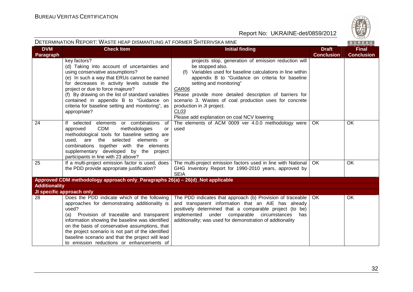

| DETERMINATION REPORT: WASTE HEAP DISMANTLING AT FORMER SHTERIVSKA MINE |                                                                                                                                                                                                                                                                                                                                                                                                                  |                                                                                                                                                                                                                                                                                                                                                                                                                                               |                                   | BUREAU                            |
|------------------------------------------------------------------------|------------------------------------------------------------------------------------------------------------------------------------------------------------------------------------------------------------------------------------------------------------------------------------------------------------------------------------------------------------------------------------------------------------------|-----------------------------------------------------------------------------------------------------------------------------------------------------------------------------------------------------------------------------------------------------------------------------------------------------------------------------------------------------------------------------------------------------------------------------------------------|-----------------------------------|-----------------------------------|
| <b>DVM</b><br><b>Paragraph</b>                                         | <b>Check Item</b>                                                                                                                                                                                                                                                                                                                                                                                                | <b>Initial finding</b>                                                                                                                                                                                                                                                                                                                                                                                                                        | <b>Draft</b><br><b>Conclusion</b> | <b>Final</b><br><b>Conclusion</b> |
|                                                                        | key factors?<br>(d) Taking into account of uncertainties and<br>using conservative assumptions?<br>(e) In such a way that ERUs cannot be earned<br>for decreases in activity levels outside the<br>project or due to force majeure?<br>(f) By drawing on the list of standard variables<br>contained in appendix B to "Guidance on<br>criteria for baseline setting and monitoring", as<br>appropriate?          | projects stop, generation of emission reduction will<br>be stopped also.<br>Variables used for baseline calculations in line within<br>(f)<br>appendix B to "Guidance on criteria for baseline<br>setting and monitoring"<br>CAR06<br>Please provide more detailed description of barriers for<br>scenario 3. Wastes of coal production uses for concrete<br>production in JI project.<br>CLO3<br>Please add explanation on coal NCV lowering |                                   |                                   |
| 24                                                                     | If selected elements or combinations<br>of<br><b>CDM</b><br>methodologies<br>approved<br>or<br>methodological tools for baseline setting are<br>selected<br>elements<br>used.<br>are<br>the<br><b>or</b><br>combinations together with the elements<br>supplementary developed by the project<br>participants in line with 23 above?                                                                             | The elements of ACM 0009 ver 4.0.0 methodology were<br>used                                                                                                                                                                                                                                                                                                                                                                                   | OK                                | OK                                |
| 25                                                                     | If a multi-project emission factor is used, does<br>the PDD provide appropriate justification?                                                                                                                                                                                                                                                                                                                   | The multi-project emission factors used in line with National<br>GHG Inventory Report for 1990-2010 years, approved by<br><b>SEIA</b>                                                                                                                                                                                                                                                                                                         | OK.                               | OK                                |
|                                                                        | Approved CDM methodology approach only_Paragraphs 26(a) - 26(d)_Not applicable                                                                                                                                                                                                                                                                                                                                   |                                                                                                                                                                                                                                                                                                                                                                                                                                               |                                   |                                   |
| <b>Additionality</b>                                                   | JI specific approach only                                                                                                                                                                                                                                                                                                                                                                                        |                                                                                                                                                                                                                                                                                                                                                                                                                                               |                                   |                                   |
| 28                                                                     | Does the PDD indicate which of the following<br>approaches for demonstrating additionality is<br>used?<br>(a) Provision of traceable and transparent<br>information showing the baseline was identified<br>on the basis of conservative assumptions, that<br>the project scenario is not part of the identified<br>baseline scenario and that the project will lead<br>to emission reductions or enhancements of | The PDD indicates that approach (b) Provision of traceable<br>and transparent information that an AIE has already<br>positively determined that a comparable project (to be)<br>implemented under comparable circumstances<br>has<br>additionality; was used for demonstration of addtionality                                                                                                                                                | OK.                               | OK                                |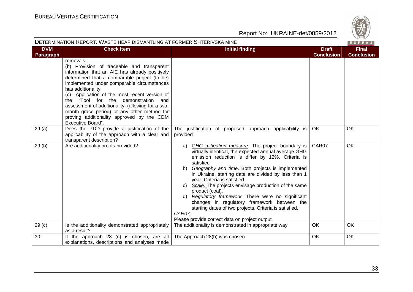

| DETERMINATION REPORT: WASTE HEAP DISMANTLING AT FORMER SHTERIVSKA MINE |                                                                                                                                                                                                                                                                                                                                                                                                                                                                                             |                                                                                                                                                                                                                                                                                                                                                                                                                                                                                                                                                                                                                                        |                                   | BUREAU                            |
|------------------------------------------------------------------------|---------------------------------------------------------------------------------------------------------------------------------------------------------------------------------------------------------------------------------------------------------------------------------------------------------------------------------------------------------------------------------------------------------------------------------------------------------------------------------------------|----------------------------------------------------------------------------------------------------------------------------------------------------------------------------------------------------------------------------------------------------------------------------------------------------------------------------------------------------------------------------------------------------------------------------------------------------------------------------------------------------------------------------------------------------------------------------------------------------------------------------------------|-----------------------------------|-----------------------------------|
| <b>DVM</b><br><b>Paragraph</b>                                         | <b>Check Item</b>                                                                                                                                                                                                                                                                                                                                                                                                                                                                           | <b>Initial finding</b>                                                                                                                                                                                                                                                                                                                                                                                                                                                                                                                                                                                                                 | <b>Draft</b><br><b>Conclusion</b> | <b>Final</b><br><b>Conclusion</b> |
|                                                                        | removals;<br>(b) Provision of traceable and transparent<br>information that an AIE has already positively<br>determined that a comparable project (to be)<br>implemented under comparable circumstances<br>has additionality;<br>(c) Application of the most recent version of<br>the "Tool for the demonstration and<br>assessment of additionality. (allowing for a two-<br>month grace period) or any other method for<br>proving additionality approved by the CDM<br>Executive Board". |                                                                                                                                                                                                                                                                                                                                                                                                                                                                                                                                                                                                                                        |                                   |                                   |
| 29(a)                                                                  | Does the PDD provide a justification of the<br>applicability of the approach with a clear and<br>transparent description?                                                                                                                                                                                                                                                                                                                                                                   | The justification of proposed approach applicability is<br>provided                                                                                                                                                                                                                                                                                                                                                                                                                                                                                                                                                                    | OK                                | OK                                |
| 29(b)                                                                  | Are additionality proofs provided?                                                                                                                                                                                                                                                                                                                                                                                                                                                          | GHG mitigation measure. The project boundary is<br>a)<br>virtually identical, the expected annual average GHG<br>emission reduction is differ by 12%. Criteria is<br>satisfied<br>b) Geography and time. Both projects is implemented<br>in Ukraine, starting date are divided by less than 1<br>year. Criteria is satisfied<br>c) Scale. The projects envisage production of the same<br>product (coal).<br>Regulatory framework. There were no significant<br>d).<br>changes in regulatory framework between the<br>starting dates of two projects. Criteria is satisfied.<br>CAR07<br>Please provide correct data on project output | CAR07                             | OK                                |
| 29 <sub>(c)</sub>                                                      | Is the additionality demonstrated appropriately<br>as a result?                                                                                                                                                                                                                                                                                                                                                                                                                             | The additionality is demonstrated in appropriate way                                                                                                                                                                                                                                                                                                                                                                                                                                                                                                                                                                                   | OK                                | OK                                |
| 30                                                                     | If the approach 28 (c) is chosen, are all<br>explanations, descriptions and analyses made                                                                                                                                                                                                                                                                                                                                                                                                   | The Approach 28(b) was chosen                                                                                                                                                                                                                                                                                                                                                                                                                                                                                                                                                                                                          | <b>OK</b>                         | OK                                |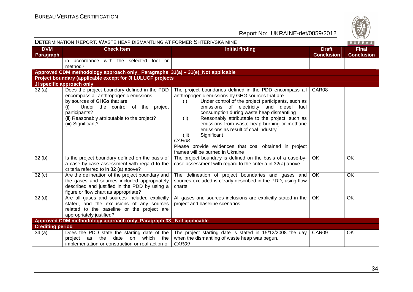| DETERMINATION REPORT: WASTE HEAP DISMANTLING AT FORMER SHTERIVSKA MINE<br>BUREAU |                                                                                                                                                                                                                                                         |                                                                                                                                                                                                                                                                                                                                                                                                                                                                                                                                                    |                                   |                                   |
|----------------------------------------------------------------------------------|---------------------------------------------------------------------------------------------------------------------------------------------------------------------------------------------------------------------------------------------------------|----------------------------------------------------------------------------------------------------------------------------------------------------------------------------------------------------------------------------------------------------------------------------------------------------------------------------------------------------------------------------------------------------------------------------------------------------------------------------------------------------------------------------------------------------|-----------------------------------|-----------------------------------|
| <b>DVM</b><br>Paragraph                                                          | <b>Check Item</b>                                                                                                                                                                                                                                       | <b>Initial finding</b>                                                                                                                                                                                                                                                                                                                                                                                                                                                                                                                             | <b>Draft</b><br><b>Conclusion</b> | <b>Final</b><br><b>Conclusion</b> |
|                                                                                  | in accordance with the selected tool or<br>method?                                                                                                                                                                                                      |                                                                                                                                                                                                                                                                                                                                                                                                                                                                                                                                                    |                                   |                                   |
|                                                                                  | Approved CDM methodology approach only_ Paragraphs 31(a) - 31(e)_Not applicable                                                                                                                                                                         |                                                                                                                                                                                                                                                                                                                                                                                                                                                                                                                                                    |                                   |                                   |
|                                                                                  | Project boundary (applicable except for JI LULUCF projects                                                                                                                                                                                              |                                                                                                                                                                                                                                                                                                                                                                                                                                                                                                                                                    |                                   |                                   |
|                                                                                  | JI specific approach only                                                                                                                                                                                                                               |                                                                                                                                                                                                                                                                                                                                                                                                                                                                                                                                                    |                                   |                                   |
| 32(a)                                                                            | Does the project boundary defined in the PDD<br>encompass all anthropogenic emissions<br>by sources of GHGs that are:<br>Under the control of the project<br>(i)<br>participants?<br>(ii) Reasonably attributable to the project?<br>(iii) Significant? | The project boundaries defined in the PDD encompass all<br>anthropogenic emissions by GHG sources that are<br>Under control of the project participants, such as<br>(i)<br>emissions of electricity and diesel fuel<br>consumption during waste heap dismantling<br>Reasonably attributable to the project, such as<br>(ii)<br>emissions from waste heap burning or methane<br>emissions as result of coal industry<br>Significant<br>(iii)<br>CAR08<br>Please provide evidences that coal obtained in project<br>frames will be burned in Ukraine | CAR08                             |                                   |
| 32(b)                                                                            | Is the project boundary defined on the basis of<br>a case-by-case assessment with regard to the<br>criteria referred to in 32 (a) above?                                                                                                                | The project boundary is defined on the basis of a case-by-<br>case assessment with regard to the criteria in 32(a) above                                                                                                                                                                                                                                                                                                                                                                                                                           | <b>OK</b>                         | <b>OK</b>                         |
| 32(c)                                                                            | Are the delineation of the project boundary and<br>the gases and sources included appropriately<br>described and justified in the PDD by using a<br>figure or flow chart as appropriate?                                                                | The delineation of project boundaries and gases and<br>sources excluded is clearly described in the PDD, using flow<br>charts.                                                                                                                                                                                                                                                                                                                                                                                                                     | <b>OK</b>                         | <b>OK</b>                         |
| 32 <sub>(d)</sub>                                                                | Are all gases and sources included explicitly<br>stated, and the exclusions of any sources<br>related to the baseline or the project are<br>appropriately justified?                                                                                    | All gases and sources inclusions are explicitly stated in the<br>project and baseline scenarios                                                                                                                                                                                                                                                                                                                                                                                                                                                    | OK.                               | OK                                |
|                                                                                  | Approved CDM methodology approach only_Paragraph 33_Not applicable                                                                                                                                                                                      |                                                                                                                                                                                                                                                                                                                                                                                                                                                                                                                                                    |                                   |                                   |
| <b>Crediting period</b>                                                          |                                                                                                                                                                                                                                                         |                                                                                                                                                                                                                                                                                                                                                                                                                                                                                                                                                    |                                   |                                   |
| 34 (a)                                                                           | Does the PDD state the starting date of the<br>the<br>date<br>which the<br>project<br>as<br>on<br>implementation or construction or real action of                                                                                                      | The project starting date is stated in 15/12/2008 the day<br>when the dismantling of waste heap was begun.<br>CAR09                                                                                                                                                                                                                                                                                                                                                                                                                                | CAR09                             | OK                                |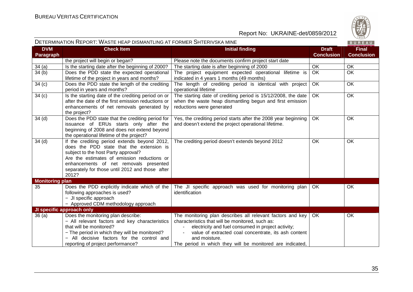

|                         | DETERMINATION REPORT: WASTE HEAP DISMANTLING AT FORMER SHTERIVSKA MINE                                                                                                                                                                                                               |                                                                                                                                                                                                                                                                                                            |                                   | BUREAU                            |
|-------------------------|--------------------------------------------------------------------------------------------------------------------------------------------------------------------------------------------------------------------------------------------------------------------------------------|------------------------------------------------------------------------------------------------------------------------------------------------------------------------------------------------------------------------------------------------------------------------------------------------------------|-----------------------------------|-----------------------------------|
| <b>DVM</b><br>Paragraph | <b>Check Item</b>                                                                                                                                                                                                                                                                    | <b>Initial finding</b>                                                                                                                                                                                                                                                                                     | <b>Draft</b><br><b>Conclusion</b> | <b>Final</b><br><b>Conclusion</b> |
|                         | the project will begin or began?                                                                                                                                                                                                                                                     | Please note the documents confirm project start date                                                                                                                                                                                                                                                       |                                   |                                   |
| 34(a)                   | Is the starting date after the beginning of 2000?                                                                                                                                                                                                                                    | The starting date is after beginning of 2000                                                                                                                                                                                                                                                               | <b>OK</b>                         | <b>OK</b>                         |
| 34(b)                   | Does the PDD state the expected operational<br>lifetime of the project in years and months?                                                                                                                                                                                          | The project equipment expected operational lifetime is<br>indicated in 4 years 1 months (49 months)                                                                                                                                                                                                        | <b>OK</b>                         | <b>OK</b>                         |
| 34 <sub>(c)</sub>       | Does the PDD state the length of the crediting<br>period in years and months?                                                                                                                                                                                                        | The length of crediting period is identical with project<br>operational lifetime                                                                                                                                                                                                                           | OK                                | <b>OK</b>                         |
| 34(c)                   | Is the starting date of the crediting period on or<br>after the date of the first emission reductions or<br>enhancements of net removals generated by<br>the project?                                                                                                                | The starting date of crediting period is 15/12/2008, the date<br>when the waste heap dismantling begun and first emission<br>reductions were generated                                                                                                                                                     | OK                                | OK                                |
| 34 <sub>(d)</sub>       | Does the PDD state that the crediting period for<br>issuance of ERUs starts only after the<br>beginning of 2008 and does not extend beyond<br>the operational lifetime of the project?                                                                                               | Yes, the crediting period starts after the 2008 year beginning<br>and doesn't extend the project operational lifetime.                                                                                                                                                                                     | OK.                               | OK                                |
| 34 <sub>(d)</sub>       | If the crediting period extends beyond 2012,<br>does the PDD state that the extension is<br>subject to the host Party approval?<br>Are the estimates of emission reductions or<br>enhancements of net removals presented<br>separately for those until 2012 and those after<br>2012? | The crediting period doesn't extends beyond 2012                                                                                                                                                                                                                                                           | <b>OK</b>                         | <b>OK</b>                         |
| <b>Monitoring plan</b>  |                                                                                                                                                                                                                                                                                      |                                                                                                                                                                                                                                                                                                            |                                   |                                   |
| 35                      | Does the PDD explicitly indicate which of the<br>following approaches is used?<br>- JI specific approach<br>- Approved CDM methodology approach                                                                                                                                      | The JI specific approach was used for monitoring plan<br>identification                                                                                                                                                                                                                                    | OK.                               | OK                                |
|                         | JI specific approach only                                                                                                                                                                                                                                                            |                                                                                                                                                                                                                                                                                                            |                                   |                                   |
| 36(a)                   | Does the monitoring plan describe:<br>- All relevant factors and key characteristics<br>that will be monitored?<br>- The period in which they will be monitored?<br>All decisive factors for the control and<br>reporting of project performance?                                    | The monitoring plan describes all relevant factors and key<br>characteristics that will be monitored, such as:<br>electricity and fuel consumed in project activity;<br>value of extracted coal concentrate, its ash content<br>and moisture.<br>The period in which they will be monitored are indicated, | OK.                               | OK                                |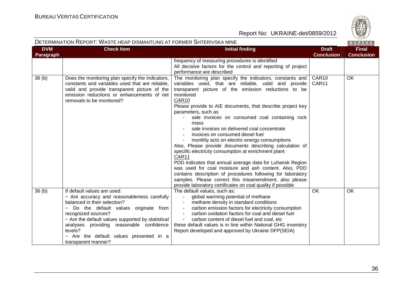

| <b>DVM</b><br>Paragraph | <b>Check Item</b>                                                                                                                                                                                                                                                                                                                                         | <b>Initial finding</b>                                                                                                                                                                                                                                                                                                                                                                                                                                                                                                                                                                                                                                                                                                                                                                                                                                                                                                                   | <b>Draft</b><br><b>Conclusion</b> | <b>Final</b><br><b>Conclusion</b> |
|-------------------------|-----------------------------------------------------------------------------------------------------------------------------------------------------------------------------------------------------------------------------------------------------------------------------------------------------------------------------------------------------------|------------------------------------------------------------------------------------------------------------------------------------------------------------------------------------------------------------------------------------------------------------------------------------------------------------------------------------------------------------------------------------------------------------------------------------------------------------------------------------------------------------------------------------------------------------------------------------------------------------------------------------------------------------------------------------------------------------------------------------------------------------------------------------------------------------------------------------------------------------------------------------------------------------------------------------------|-----------------------------------|-----------------------------------|
|                         |                                                                                                                                                                                                                                                                                                                                                           | frequency of measuring procedures is identified<br>All decisive factors for the control and reporting of project<br>performance are described                                                                                                                                                                                                                                                                                                                                                                                                                                                                                                                                                                                                                                                                                                                                                                                            |                                   |                                   |
| 36(b)                   | Does the monitoring plan specify the indicators,<br>constants and variables used that are reliable.<br>valid and provide transparent picture of the<br>emission reductions or enhancements of net<br>removals to be monitored?                                                                                                                            | The monitoring plan specify the indicators, constants and<br>variables used, that are reliable, valid and provide<br>transparent picture of the emission reductions to be<br>monitored<br>CAR <sub>10</sub><br>Please provide to AIE documents, that describe project key<br>parameters, such as<br>sale invoices on consumed coal containing rock<br>mass<br>sale invoices on delivered coal concentrate<br>invoices on consumed diesel fuel<br>monthly acts on electric energy consumptions<br>Also, Please provide documents describing calculation of<br>specific electricity consumption at enrichment plant<br>CAR11<br>PDD indicates that annual average data for Luhansk Region<br>was used for coal moisture and ash content. Also, PDD<br>contains description of procedures following for laboratory<br>samples. Please correct this misamendment, also please<br>provide laboratory certificates on coal quality if possible | CAR10<br>CAR11                    | <b>OK</b>                         |
| 36(b)                   | If default values are used:<br>- Are accuracy and reasonableness carefully<br>balanced in their selection?<br>- Do the default values originate from<br>recognized sources?<br>- Are the default values supported by statistical<br>analyses providing reasonable confidence<br>levels?<br>- Are the default values presented in a<br>transparent manner? | The default values, such as:<br>global warming potential of methane<br>$\blacksquare$<br>methane density in standard conditions<br>carbon emission factors for electricity consumption<br>carbon oxidation factors for coal and diesel fuel<br>carbon content of diesel fuel and coal, etc<br>these default values is in line within National GHG inventory<br>Report developed and approved by Ukraine DFP(SEIA)                                                                                                                                                                                                                                                                                                                                                                                                                                                                                                                        | OK                                | OK                                |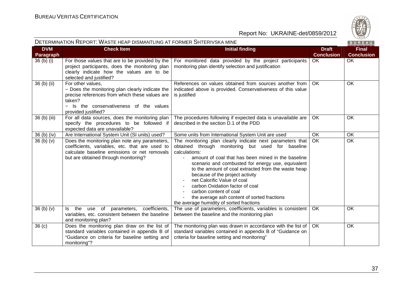

| DETERMINATION REPORT: WASTE HEAP DISMANTLING AT FORMER SHTERIVSKA MINE |                                                                                                                                                                                                    |                                                                                                                                                                                                                                                                                                                                                                                                                                                                                                                             | BUREAU                            |                                   |
|------------------------------------------------------------------------|----------------------------------------------------------------------------------------------------------------------------------------------------------------------------------------------------|-----------------------------------------------------------------------------------------------------------------------------------------------------------------------------------------------------------------------------------------------------------------------------------------------------------------------------------------------------------------------------------------------------------------------------------------------------------------------------------------------------------------------------|-----------------------------------|-----------------------------------|
| <b>DVM</b><br>Paragraph                                                | <b>Check Item</b>                                                                                                                                                                                  | <b>Initial finding</b>                                                                                                                                                                                                                                                                                                                                                                                                                                                                                                      | <b>Draft</b><br><b>Conclusion</b> | <b>Final</b><br><b>Conclusion</b> |
| 36 (b) (i)                                                             | For those values that are to be provided by the<br>project participants, does the monitoring plan<br>clearly indicate how the values are to be<br>selected and justified?                          | For monitored data provided by the project participants<br>monitoring plan identify selection and justification                                                                                                                                                                                                                                                                                                                                                                                                             | <b>OK</b>                         | <b>OK</b>                         |
| 36 (b) (ii)                                                            | For other values,<br>- Does the monitoring plan clearly indicate the<br>precise references from which these values are<br>taken?<br>- Is the conservativeness of the values<br>provided justified? | References on values obtained from sources another from<br>indicated above is provided. Conservativeness of this value<br>is justified                                                                                                                                                                                                                                                                                                                                                                                      | <b>OK</b>                         | OK                                |
| 36 (b) (iii)                                                           | For all data sources, does the monitoring plan<br>specify the procedures to be followed if<br>expected data are unavailable?                                                                       | The procedures following if expected data is unavailable are<br>described in the section D.1 of the PDD                                                                                                                                                                                                                                                                                                                                                                                                                     | OK                                | OK                                |
| 36 (b) (iv)                                                            | Are International System Unit (SI units) used?                                                                                                                                                     | Some units from International System Unit are used                                                                                                                                                                                                                                                                                                                                                                                                                                                                          | OK                                | <b>OK</b>                         |
| 36(b)(v)                                                               | Does the monitoring plan note any parameters,<br>coefficients, variables, etc. that are used to<br>calculate baseline emissions or net removals<br>but are obtained through monitoring?            | The monitoring plan clearly indicate next parameters that<br>obtained through monitoring but used for baseline<br>calculations:<br>amount of coal that has been mined in the baseline<br>scenario and combusted for energy use, equivalent<br>to the amount of coal extracted from the waste heap<br>because of the project activity<br>net Calorific Value of coal<br>carbon Oxidation factor of coal<br>carbon content of coal<br>the average ash content of sorted fractions<br>the average humidity of sorted fractions | $\overline{OK}$                   | $\overline{OK}$                   |
| 36(b)(v)                                                               | Is the use of parameters, coefficients,<br>variables, etc. consistent between the baseline<br>and monitoring plan?                                                                                 | The use of parameters, coefficients, variables is consistent<br>between the baseline and the monitoring plan                                                                                                                                                                                                                                                                                                                                                                                                                | OK                                | OK                                |
| 36 <sub>(c)</sub>                                                      | Does the monitoring plan draw on the list of<br>standard variables contained in appendix B of<br>"Guidance on criteria for baseline setting and<br>monitoring"?                                    | The monitoring plan was drawn in accordance with the list of<br>standard variables contained in appendix B of "Guidance on<br>criteria for baseline setting and monitoring"                                                                                                                                                                                                                                                                                                                                                 | OK                                | OK                                |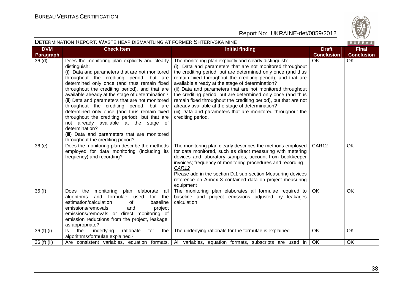

| DETERMINATION REPORT: WASTE HEAP DISMANTLING AT FORMER SHTERIVSKA MINE |                                                                                                                                                                                                                                                                                                                                                                                                                                                                                                                                                                                                                                                                   |                                                                                                                                                                                                                                                                                                                                                                                                                                                                                                                                                                                                                                                  |                                   |                                   |
|------------------------------------------------------------------------|-------------------------------------------------------------------------------------------------------------------------------------------------------------------------------------------------------------------------------------------------------------------------------------------------------------------------------------------------------------------------------------------------------------------------------------------------------------------------------------------------------------------------------------------------------------------------------------------------------------------------------------------------------------------|--------------------------------------------------------------------------------------------------------------------------------------------------------------------------------------------------------------------------------------------------------------------------------------------------------------------------------------------------------------------------------------------------------------------------------------------------------------------------------------------------------------------------------------------------------------------------------------------------------------------------------------------------|-----------------------------------|-----------------------------------|
| <b>DVM</b><br>Paragraph                                                | <b>Check Item</b>                                                                                                                                                                                                                                                                                                                                                                                                                                                                                                                                                                                                                                                 | <b>Initial finding</b>                                                                                                                                                                                                                                                                                                                                                                                                                                                                                                                                                                                                                           | <b>Draft</b><br><b>Conclusion</b> | <b>Final</b><br><b>Conclusion</b> |
| 36 <sub>(d)</sub>                                                      | Does the monitoring plan explicitly and clearly<br>distinguish:<br>(i) Data and parameters that are not monitored<br>throughout the crediting period, but are<br>determined only once (and thus remain fixed<br>throughout the crediting period), and that are<br>available already at the stage of determination?<br>(ii) Data and parameters that are not monitored<br>throughout the crediting period, but are<br>determined only once (and thus remain fixed<br>throughout the crediting period), but that are<br>not already available at the stage of<br>determination?<br>(iii) Data and parameters that are monitored<br>throughout the crediting period? | The monitoring plan explicitly and clearly distinguish:<br>(i) Data and parameters that are not monitored throughout<br>the crediting period, but are determined only once (and thus<br>remain fixed throughout the crediting period), and that are<br>available already at the stage of determination?<br>(ii) Data and parameters that are not monitored throughout<br>the crediting period, but are determined only once (and thus<br>remain fixed throughout the crediting period), but that are not<br>already available at the stage of determination?<br>(iii) Data and parameters that are monitored throughout the<br>crediting period. | <b>OK</b>                         | <b>OK</b>                         |
| 36(e)                                                                  | Does the monitoring plan describe the methods<br>employed for data monitoring (including its<br>frequency) and recording?                                                                                                                                                                                                                                                                                                                                                                                                                                                                                                                                         | The monitoring plan clearly describes the methods employed<br>for data monitored, such as direct measuring with metering<br>devices and laboratory samples, account from bookkeeper<br>invoices; frequency of monitoring procedures and recording.<br>CAR12<br>Please add in the section D.1 sub-section Measuring devices<br>reference on Annex 3 contained data on project measuring<br>equipment                                                                                                                                                                                                                                              | CAR12                             | OK                                |
| 36(f)                                                                  | Does the monitoring<br>plan elaborate<br>all<br>and formulae used<br>algorithms<br>for the<br>estimation/calculation<br>baseline<br>0f<br>emissions/removals<br>project<br>and<br>emissions/removals or direct monitoring of<br>emission reductions from the project, leakage,<br>as appropriate?                                                                                                                                                                                                                                                                                                                                                                 | The monitoring plan elaborates all formulae required to<br>baseline and project emissions adjusted by leakages<br>calculation                                                                                                                                                                                                                                                                                                                                                                                                                                                                                                                    | <b>OK</b>                         | OK                                |
| 36 (f) (i)                                                             | underlying<br>ls.<br>the<br>rationale<br>the<br>for<br>algorithms/formulae explained?                                                                                                                                                                                                                                                                                                                                                                                                                                                                                                                                                                             | The underlying rationale for the formulae is explained                                                                                                                                                                                                                                                                                                                                                                                                                                                                                                                                                                                           | <b>OK</b>                         | OK                                |
| 36 (f) (ii)                                                            | Are consistent variables, equation formats,                                                                                                                                                                                                                                                                                                                                                                                                                                                                                                                                                                                                                       | All variables, equation formats, subscripts are used in                                                                                                                                                                                                                                                                                                                                                                                                                                                                                                                                                                                          | OK.                               | OK                                |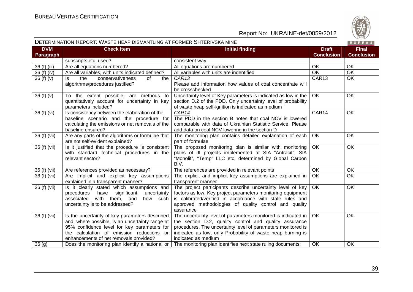

#### DETERMINATION REPORT: WASTE HEAP DISMANTLING AT FORMER SHTERIVSKA MINE

| <b>DVM</b><br><b>Check Item</b><br><b>Initial finding</b><br><b>Draft</b>                                                                                                                                                                                                                                               | <b>Final</b>      |
|-------------------------------------------------------------------------------------------------------------------------------------------------------------------------------------------------------------------------------------------------------------------------------------------------------------------------|-------------------|
| <b>Conclusion</b><br>Paragraph                                                                                                                                                                                                                                                                                          | <b>Conclusion</b> |
| subscripts etc. used?<br>consistent way                                                                                                                                                                                                                                                                                 |                   |
| 36 (f) (iii)<br>Are all equations numbered?<br>All equations are numbered<br>OK                                                                                                                                                                                                                                         | OK                |
| $\overline{OK}$<br>36 (f) (iv)<br>Are all variables, with units indicated defined?<br>All variables with units are indentified                                                                                                                                                                                          | OK                |
| CAR13<br>CAR13<br>36(f)(v)<br>conservativeness<br>of<br>ls.<br>the<br>the<br>algorithms/procedures justified?<br>Please add information how values of coal concentrate will                                                                                                                                             | OK                |
| be crosschecked                                                                                                                                                                                                                                                                                                         |                   |
| 36 (f) (v)<br>To the extent possible, are methods to<br>Uncertainty level of Key parameters is indicated as low in the<br>OK.<br>quantitatively account for uncertainty in key<br>section D.2 of the PDD. Only uncertainty level of probability                                                                         | <b>OK</b>         |
| parameters included?<br>of waste heap self-ignition is indicated as medium                                                                                                                                                                                                                                              |                   |
| CAR14<br>36 (f) (vi)<br>CAR14<br>Is consistency between the elaboration of the<br>baseline scenario and the procedure for<br>The PDD in the section B notes that coal NCV is lowered                                                                                                                                    | <b>OK</b>         |
| comparable with data of Ukrainian Statistic Service. Please<br>calculating the emissions or net removals of the                                                                                                                                                                                                         |                   |
| baseline ensured?<br>add data on coal NCV lowering in the section D                                                                                                                                                                                                                                                     |                   |
| $36(f)$ (vii)<br>Are any parts of the algorithms or formulae that<br>The monitoring plan contains detailed explanation of each<br>OK.                                                                                                                                                                                   | <b>OK</b>         |
| are not self-evident explained?<br>part of formulae                                                                                                                                                                                                                                                                     |                   |
| 36 (f) (vii)<br>Is it justified that the procedure is consistent<br>The proposed monitoring plan is similar with monitoring<br>OK<br>with standard technical procedures in the<br>plans of JI projects implemented at SIA "Antracit", SIA<br>"Monolit", "Temp" LLC etc, determined by Global Carbon<br>relevant sector? | <b>OK</b>         |
| B.V.                                                                                                                                                                                                                                                                                                                    |                   |
| 36 (f) (vii)<br>OK<br>Are references provided as necessary?<br>The references are provided in relevant points                                                                                                                                                                                                           | OK                |
| The explicit and implicit key assumptions are explained in<br>36 (f) (vii)<br>Are implicit and explicit key assumptions<br><b>OK</b><br>explained in a transparent manner?<br>transparent manner                                                                                                                        | <b>OK</b>         |
| 36 (f) (vii)<br><b>OK</b><br>Is it clearly stated which assumptions and<br>The project participants describe uncertainty level of key                                                                                                                                                                                   | <b>OK</b>         |
| factors as low. Key project parameters monitoring equipment<br>significant<br>procedures<br>have<br>uncertainty                                                                                                                                                                                                         |                   |
| is calibrated/verified in accordance with state rules and<br>with them, and<br>associated<br>how such                                                                                                                                                                                                                   |                   |
| uncertainty is to be addressed?<br>approved methodologies of quality control and quality                                                                                                                                                                                                                                |                   |
| assurance                                                                                                                                                                                                                                                                                                               |                   |
| 36 (f) (vii)<br>Is the uncertainty of key parameters described<br>The uncertainty level of parameters monitored is indicated in<br>OK.                                                                                                                                                                                  | <b>OK</b>         |
| and, where possible, is an uncertainty range at<br>the section D.2, quality control and quality assurance                                                                                                                                                                                                               |                   |
| 95% confidence level for key parameters for<br>procedures. The uncertainty level of parameters monitored is<br>the calculation of emission reductions or<br>indicated as low, only Probability of waste heap burning is                                                                                                 |                   |
| enhancements of net removals provided?<br>indicated as medium                                                                                                                                                                                                                                                           |                   |
| 36(9)<br><b>OK</b><br>Does the monitoring plan identify a national or<br>The monitoring plan identifies next state ruling documents:                                                                                                                                                                                    | OK                |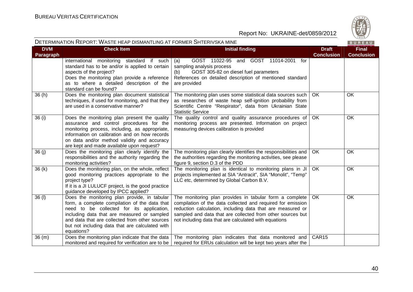

| DETERMINATION REPORT: WASTE HEAP DISMANTLING AT FORMER SHTERIVSKA MINE |                                                                                                                                                                                                                                                                                                              |                                                                                                                                                                                                                                                                                                             |                                   |                                   |
|------------------------------------------------------------------------|--------------------------------------------------------------------------------------------------------------------------------------------------------------------------------------------------------------------------------------------------------------------------------------------------------------|-------------------------------------------------------------------------------------------------------------------------------------------------------------------------------------------------------------------------------------------------------------------------------------------------------------|-----------------------------------|-----------------------------------|
| <b>DVM</b><br><b>Paragraph</b>                                         | <b>Check Item</b>                                                                                                                                                                                                                                                                                            | <b>Initial finding</b>                                                                                                                                                                                                                                                                                      | <b>Draft</b><br><b>Conclusion</b> | <b>Final</b><br><b>Conclusion</b> |
|                                                                        | international monitoring standard if such<br>standard has to be and/or is applied to certain<br>aspects of the project?<br>Does the monitoring plan provide a reference<br>as to where a detailed description of the<br>standard can be found?                                                               | GOST 11022-95 and GOST 11014-2001<br>(a)<br>for<br>sampling analysis process<br>GOST 305-82 on diesel fuel parameters<br>(b)<br>References on detailed description of mentioned standard<br>are provided                                                                                                    |                                   |                                   |
| 36(h)                                                                  | Does the monitoring plan document statistical<br>techniques, if used for monitoring, and that they<br>are used in a conservative manner?                                                                                                                                                                     | The monitoring plan uses some statistical data sources such<br>as researches of waste heap self-ignition probability from<br>Scientific Centre "Respirator", data from Ukrainian State<br><b>Statistic Service</b>                                                                                          | OK                                | OK                                |
| 36 (i)                                                                 | Does the monitoring plan present the quality<br>assurance and control procedures for the<br>monitoring process, including, as appropriate,<br>information on calibration and on how records<br>on data and/or method validity and accuracy<br>are kept and made available upon request?                      | The quality control and quality assurance procedures of   OK<br>monitoring process are presented. Information on project<br>measuring devices calibration is provided                                                                                                                                       |                                   | OK                                |
| 36(j)                                                                  | Does the monitoring plan clearly identify the<br>responsibilities and the authority regarding the<br>monitoring activities?                                                                                                                                                                                  | The monitoring plan clearly identifies the responsibilities and<br>the authorities regarding the monitoring activities, see please<br>figure 9, section D.3 of the PDD                                                                                                                                      | <b>OK</b>                         | <b>OK</b>                         |
| 36(k)                                                                  | Does the monitoring plan, on the whole, reflect<br>good monitoring practices appropriate to the<br>project type?<br>If it is a JI LULUCF project, is the good practice<br>guidance developed by IPCC applied?                                                                                                | The monitoring plan is identical to monitoring plans in JI<br>projects implemented at SIA "Antracit", SIA "Monolit", "Temp"<br>LLC etc, determined by Global Carbon B.V.                                                                                                                                    | OK                                | OK                                |
| 36 (I)                                                                 | Does the monitoring plan provide, in tabular<br>form, a complete compilation of the data that<br>need to be collected for its application,<br>including data that are measured or sampled<br>and data that are collected from other sources<br>but not including data that are calculated with<br>equations? | The monitoring plan provides in tabular form a complete<br>compilation of the data collected and required for emission<br>reduction calculation, including data that are measured or<br>sampled and data that are collected from other sources but<br>not including data that are calculated with equations | OK                                | OK                                |
| 36(m)                                                                  | Does the monitoring plan indicate that the data<br>monitored and required for verification are to be                                                                                                                                                                                                         | The monitoring plan indicates that data monitored and<br>required for ERUs calculation will be kept two years after the                                                                                                                                                                                     | CAR15                             |                                   |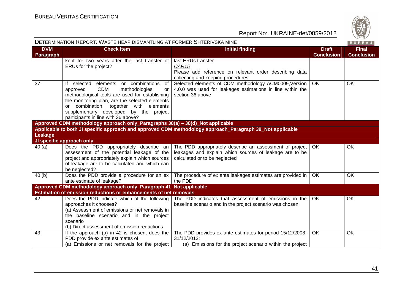

| DETERMINATION REPORT: WASTE HEAP DISMANTLING AT FORMER SHTERIVSKA MINE<br>BUREAU |                                                                                                  |                                                                                                                    |                                   |                                   |
|----------------------------------------------------------------------------------|--------------------------------------------------------------------------------------------------|--------------------------------------------------------------------------------------------------------------------|-----------------------------------|-----------------------------------|
| <b>DVM</b><br>Paragraph                                                          | <b>Check Item</b>                                                                                | <b>Initial finding</b>                                                                                             | <b>Draft</b><br><b>Conclusion</b> | <b>Final</b><br><b>Conclusion</b> |
|                                                                                  | kept for two years after the last transfer of<br>ERUs for the project?                           | last ERUs transfer<br>CAR <sub>15</sub>                                                                            |                                   |                                   |
|                                                                                  |                                                                                                  | Please add reference on relevant order describing data                                                             |                                   |                                   |
|                                                                                  |                                                                                                  | collecting and keeping procedures                                                                                  |                                   |                                   |
| 37                                                                               | of<br>If selected elements or combinations                                                       | Selected elements of CDM methodology ACM0009, Version                                                              | <b>OK</b>                         | OK                                |
|                                                                                  | <b>CDM</b><br>approved<br>methodologies<br>or                                                    | 4.0.0 was used for leakages estimations in line within the                                                         |                                   |                                   |
|                                                                                  | methodological tools are used for establishing<br>the monitoring plan, are the selected elements | section 36 above                                                                                                   |                                   |                                   |
|                                                                                  | or combination, together with elements                                                           |                                                                                                                    |                                   |                                   |
|                                                                                  | supplementary developed by the project                                                           |                                                                                                                    |                                   |                                   |
|                                                                                  | participants in line with 36 above?                                                              |                                                                                                                    |                                   |                                   |
|                                                                                  | Approved CDM methodology approach only_Paragraphs 38(a) - 38(d)_Not applicable                   |                                                                                                                    |                                   |                                   |
|                                                                                  |                                                                                                  | Applicable to both JI specific approach and approved CDM methodology approach_Paragraph 39_Not applicable          |                                   |                                   |
| Leakage                                                                          |                                                                                                  |                                                                                                                    |                                   |                                   |
|                                                                                  | JI specific approach only                                                                        |                                                                                                                    | OK                                | OK                                |
| 40(a)                                                                            | Does the PDD appropriately describe an<br>assessment of the potential leakage of the             | The PDD appropriately describe an assessment of project<br>leakages and explain which sources of leakage are to be |                                   |                                   |
|                                                                                  | project and appropriately explain which sources                                                  | calculated or to be neglected                                                                                      |                                   |                                   |
|                                                                                  | of leakage are to be calculated and which can                                                    |                                                                                                                    |                                   |                                   |
|                                                                                  | be neglected?                                                                                    |                                                                                                                    |                                   |                                   |
| 40(b)                                                                            | Does the PDD provide a procedure for an ex                                                       | The procedure of ex ante leakages estimates are provided in                                                        | <b>OK</b>                         | <b>OK</b>                         |
|                                                                                  | ante estimate of leakage?                                                                        | the PDD                                                                                                            |                                   |                                   |
|                                                                                  | Approved CDM methodology approach only_Paragraph 41_Not applicable                               |                                                                                                                    |                                   |                                   |
| 42                                                                               | Estimation of emission reductions or enhancements of net removals                                | The PDD indicates that assessment of emissions in the                                                              | OK                                | OK                                |
|                                                                                  | Does the PDD indicate which of the following<br>approaches it chooses?                           | baseline scenario and in the project scenario was chosen                                                           |                                   |                                   |
|                                                                                  | (a) Assessment of emissions or net removals in                                                   |                                                                                                                    |                                   |                                   |
|                                                                                  | the baseline scenario and in the project                                                         |                                                                                                                    |                                   |                                   |
|                                                                                  | scenario                                                                                         |                                                                                                                    |                                   |                                   |
|                                                                                  | (b) Direct assessment of emission reductions                                                     |                                                                                                                    |                                   |                                   |
| 43                                                                               | If the approach (a) in 42 is chosen, does the                                                    | The PDD provides ex ante estimates for period 15/12/2008-                                                          | OK                                | OK                                |
|                                                                                  | PDD provide ex ante estimates of:                                                                | 31/12/2012:                                                                                                        |                                   |                                   |
|                                                                                  | (a) Emissions or net removals for the project                                                    | (a) Emissions for the project scenario within the project                                                          |                                   |                                   |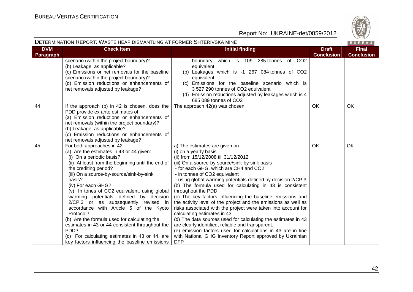

#### DETERMINATION REPORT: WASTE HEAP DISMANTLING AT FORMER SHTERIVSKA MINE

|                         |                                                                                        | L HLAL DIVIARIERV AT L'ONINEN OHI LINTONA INIIN<br><b>BUNEAU</b>                 |                                   |                                   |
|-------------------------|----------------------------------------------------------------------------------------|----------------------------------------------------------------------------------|-----------------------------------|-----------------------------------|
| <b>DVM</b><br>Paragraph | <b>Check Item</b>                                                                      | <b>Initial finding</b>                                                           | <b>Draft</b><br><b>Conclusion</b> | <b>Final</b><br><b>Conclusion</b> |
|                         | scenario (within the project boundary)?                                                | boundary which is 109 285 tonnes of CO2                                          |                                   |                                   |
|                         | (b) Leakage, as applicable?                                                            | equivalent                                                                       |                                   |                                   |
|                         | (c) Emissions or net removals for the baseline                                         | (b) Leakages which is -1 267 084 tonnes of CO2                                   |                                   |                                   |
|                         | scenario (within the project boundary)?                                                | equivalent                                                                       |                                   |                                   |
|                         | (d) Emission reductions or enhancements of                                             | (c) Emissions for the baseline scenario which is                                 |                                   |                                   |
|                         | net removals adjusted by leakage?                                                      | 3 527 290 tonnes of CO2 equivalent                                               |                                   |                                   |
|                         |                                                                                        | (d) Emission reductions adjusted by leakages which is 4                          |                                   |                                   |
|                         |                                                                                        | 685 089 tonnes of CO2                                                            |                                   |                                   |
| 44                      | If the approach (b) in 42 is chosen, does the                                          | The approach 42(a) was chosen                                                    | OK                                | OK                                |
|                         | PDD provide ex ante estimates of:                                                      |                                                                                  |                                   |                                   |
|                         | (a) Emission reductions or enhancements of                                             |                                                                                  |                                   |                                   |
|                         | net removals (within the project boundary)?                                            |                                                                                  |                                   |                                   |
|                         | (b) Leakage, as applicable?                                                            |                                                                                  |                                   |                                   |
|                         | (c) Emission reductions or enhancements of                                             |                                                                                  |                                   |                                   |
|                         | net removals adjusted by leakage?                                                      |                                                                                  |                                   |                                   |
| 45                      | For both approaches in 42                                                              | a) The estimates are given on                                                    | <b>OK</b>                         | <b>OK</b>                         |
|                         | (a) Are the estimates in 43 or 44 given:                                               | (i) on a yearly basis                                                            |                                   |                                   |
|                         | (i) On a periodic basis?                                                               | (ii) from 15/12/2008 till 31/12/2012                                             |                                   |                                   |
|                         | (ii) At least from the beginning until the end of                                      | (iii) On a source-by-source/sink-by-sink basis                                   |                                   |                                   |
|                         | the crediting period?                                                                  | - for each GHG, which are CH4 and CO2                                            |                                   |                                   |
|                         | (iii) On a source-by-source/sink-by-sink                                               | - in tonnes of CO2 equivalent                                                    |                                   |                                   |
|                         | basis?                                                                                 | - using global warming potentials defined by decision 2/CP.3                     |                                   |                                   |
|                         | (iv) For each GHG?                                                                     | (b) The formula used for calculating in 43 is consistent                         |                                   |                                   |
|                         | (v) In tones of CO2 equivalent, using global<br>warming potentials defined by decision | throughout the PDD<br>(c) The key factors influencing the baseline emissions and |                                   |                                   |
|                         | 2/CP.3 or as subsequently revised in                                                   | the activity level of the project and the emissions as well as                   |                                   |                                   |
|                         | accordance with Article 5 of the Kyoto                                                 | risks associated with the project were taken into account for                    |                                   |                                   |
|                         | Protocol?                                                                              | calculating estimates in 43                                                      |                                   |                                   |
|                         | (b) Are the formula used for calculating the                                           | (d) The data sources used for calculating the estimates in 43                    |                                   |                                   |
|                         | estimates in 43 or 44 consistent throughout the                                        | are clearly identified, reliable and transparent.                                |                                   |                                   |
|                         | PDD?                                                                                   | (e) emission factors used for calculations in 43 are in line                     |                                   |                                   |
|                         | (c) For calculating estimates in 43 or 44, are                                         | with National GHG Inventory Report approved by Ukrainian                         |                                   |                                   |
|                         | key factors influencing the baseline emissions                                         | <b>DFP</b>                                                                       |                                   |                                   |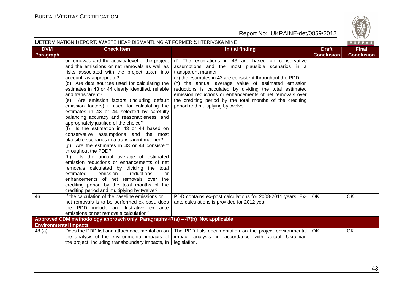

|                                | DETERMINATION REPORT: WASTE HEAP DISMANTLING AT FORMER SHTERIVSKA MINE                                                                                                                                                                                                                                                                                                                                                                                                                                                                                                                                                                                                                                                                                                                                                                                                                                                                                                                                                                                                                    |                                                                                                                                                                                                                                                                                                                                                                                                                                                                             |                                   | BUREAU                            |
|--------------------------------|-------------------------------------------------------------------------------------------------------------------------------------------------------------------------------------------------------------------------------------------------------------------------------------------------------------------------------------------------------------------------------------------------------------------------------------------------------------------------------------------------------------------------------------------------------------------------------------------------------------------------------------------------------------------------------------------------------------------------------------------------------------------------------------------------------------------------------------------------------------------------------------------------------------------------------------------------------------------------------------------------------------------------------------------------------------------------------------------|-----------------------------------------------------------------------------------------------------------------------------------------------------------------------------------------------------------------------------------------------------------------------------------------------------------------------------------------------------------------------------------------------------------------------------------------------------------------------------|-----------------------------------|-----------------------------------|
| <b>DVM</b><br><b>Paragraph</b> | <b>Check Item</b>                                                                                                                                                                                                                                                                                                                                                                                                                                                                                                                                                                                                                                                                                                                                                                                                                                                                                                                                                                                                                                                                         | <b>Initial finding</b>                                                                                                                                                                                                                                                                                                                                                                                                                                                      | <b>Draft</b><br><b>Conclusion</b> | <b>Final</b><br><b>Conclusion</b> |
|                                | or removals and the activity level of the project<br>and the emissions or net removals as well as<br>risks associated with the project taken into<br>account, as appropriate?<br>(d) Are data sources used for calculating the<br>estimates in 43 or 44 clearly identified, reliable<br>and transparent?<br>(e) Are emission factors (including default<br>emission factors) if used for calculating the<br>estimates in 43 or 44 selected by carefully<br>balancing accuracy and reasonableness, and<br>appropriately justified of the choice?<br>(f) Is the estimation in 43 or 44 based on<br>conservative assumptions and the most<br>plausible scenarios in a transparent manner?<br>(g) Are the estimates in 43 or 44 consistent<br>throughout the PDD?<br>Is the annual average of estimated<br>(h)<br>emission reductions or enhancements of net<br>removals calculated by dividing the total<br>estimated<br>emission<br>reductions<br>or<br>enhancements of net removals over the<br>crediting period by the total months of the<br>crediting period and multiplying by twelve? | (f) The estimations in 43 are based on conservative<br>assumptions and the most plausible scenarios in a<br>transparent manner<br>(g) the estimates in 43 are consistent throughout the PDD<br>(h) the annual average value of estimated emission<br>reductions is calculated by dividing the total estimated<br>emission reductions or enhancements of net removals over<br>the crediting period by the total months of the crediting<br>period and multiplying by twelve. |                                   |                                   |
| 46                             | If the calculation of the baseline emissions or<br>net removals is to be performed ex post, does<br>the PDD include an illustrative ex ante<br>emissions or net removals calculation?                                                                                                                                                                                                                                                                                                                                                                                                                                                                                                                                                                                                                                                                                                                                                                                                                                                                                                     | PDD contains ex-post calculations for 2008-2011 years. Ex-<br>ante calculations is provided for 2012 year                                                                                                                                                                                                                                                                                                                                                                   | <b>OK</b>                         | <b>OK</b>                         |
|                                | Approved CDM methodology approach only_Paragraphs 47(a) - 47(b)_Not applicable                                                                                                                                                                                                                                                                                                                                                                                                                                                                                                                                                                                                                                                                                                                                                                                                                                                                                                                                                                                                            |                                                                                                                                                                                                                                                                                                                                                                                                                                                                             |                                   |                                   |
|                                | <b>Environmental impacts</b>                                                                                                                                                                                                                                                                                                                                                                                                                                                                                                                                                                                                                                                                                                                                                                                                                                                                                                                                                                                                                                                              |                                                                                                                                                                                                                                                                                                                                                                                                                                                                             |                                   |                                   |
| 48(a)                          | Does the PDD list and attach documentation on<br>the analysis of the environmental impacts of<br>the project, including transboundary impacts, in                                                                                                                                                                                                                                                                                                                                                                                                                                                                                                                                                                                                                                                                                                                                                                                                                                                                                                                                         | The PDD lists documentation on the project environmental<br>impact analysis in accordance with actual Ukrainian<br>legislation.                                                                                                                                                                                                                                                                                                                                             | OK                                | OK                                |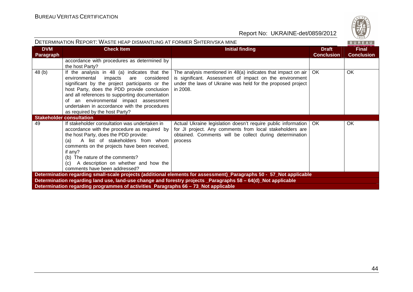

| DETERMINATION REPORT: WASTE HEAP DISMANTLING AT FORMER SHTERIVSKA MINE |                                                                                                                                                                                                                                                                                                                                                                             |                                                                                                                                                                                                        |                                   |                                   |
|------------------------------------------------------------------------|-----------------------------------------------------------------------------------------------------------------------------------------------------------------------------------------------------------------------------------------------------------------------------------------------------------------------------------------------------------------------------|--------------------------------------------------------------------------------------------------------------------------------------------------------------------------------------------------------|-----------------------------------|-----------------------------------|
| <b>DVM</b><br><b>Paragraph</b>                                         | <b>Check Item</b>                                                                                                                                                                                                                                                                                                                                                           | <b>Initial finding</b>                                                                                                                                                                                 | <b>Draft</b><br><b>Conclusion</b> | <b>Final</b><br><b>Conclusion</b> |
|                                                                        | accordance with procedures as determined by<br>the host Party?                                                                                                                                                                                                                                                                                                              |                                                                                                                                                                                                        |                                   |                                   |
| 48 (b)                                                                 | If the analysis in 48 (a) indicates that the<br>environmental<br>impacts<br>considered<br>are<br>significant by the project participants or the<br>host Party, does the PDD provide conclusion<br>and all references to supporting documentation<br>of an environmental impact assessment<br>undertaken in accordance with the procedures<br>as required by the host Party? | The analysis mentioned in $48(a)$ indicates that impact on air  <br>is significant. Assessment of impact on the environment<br>under the laws of Ukraine was held for the proposed project<br>in 2008. | OK                                | OK                                |
|                                                                        | <b>Stakeholder consultation</b>                                                                                                                                                                                                                                                                                                                                             |                                                                                                                                                                                                        |                                   |                                   |
| 49                                                                     | If stakeholder consultation was undertaken in<br>accordance with the procedure as required by<br>the host Party, does the PDD provide:<br>A list of stakeholders from whom<br>(a)<br>comments on the projects have been received,<br>if any?<br>(b) The nature of the comments?<br>A description on whether and how the<br>(c)<br>comments have been addressed?             | Actual Ukraine legislation doesn't require public information<br>for JI project. Any comments from local stakeholders are<br>obtained. Comments will be collect during determination<br>process        | <b>OK</b>                         | OK                                |
|                                                                        |                                                                                                                                                                                                                                                                                                                                                                             | Determination regarding small-scale projects (additional elements for assessment)_Paragraphs 50 - 57_Not applicable                                                                                    |                                   |                                   |
|                                                                        |                                                                                                                                                                                                                                                                                                                                                                             | Determination regarding land use, land-use change and forestry projects _Paragraphs 58 - 64(d)_Not applicable                                                                                          |                                   |                                   |
|                                                                        | Determination regarding programmes of activities Paragraphs 66 – 73 Not applicable                                                                                                                                                                                                                                                                                          |                                                                                                                                                                                                        |                                   |                                   |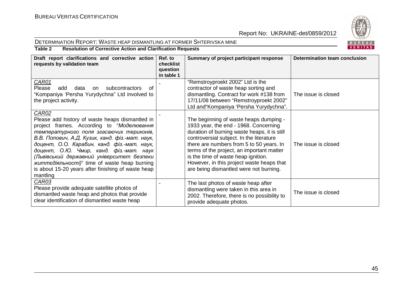



# **Table 2 Resolution of Corrective Action and Clarification Requests**

| Draft report clarifications and corrective action<br>requests by validation team                                                                                                                                                                                                                                                                                                                                                                                             | Ref. to<br>checklist<br>question<br>in table 1 | Summary of project participant response                                                                                                                                                                                                                                                                                                                                                            | Determination team conclusion |
|------------------------------------------------------------------------------------------------------------------------------------------------------------------------------------------------------------------------------------------------------------------------------------------------------------------------------------------------------------------------------------------------------------------------------------------------------------------------------|------------------------------------------------|----------------------------------------------------------------------------------------------------------------------------------------------------------------------------------------------------------------------------------------------------------------------------------------------------------------------------------------------------------------------------------------------------|-------------------------------|
| <b>CAR01</b><br>Please<br>subcontractors<br>add<br>data<br>on<br>0t<br>"Kompaniya 'Persha Yurydychna" Ltd involved to<br>the project activity.                                                                                                                                                                                                                                                                                                                               |                                                | "Remstroyproekt 2002" Ltd is the<br>contractor of waste heap sorting and<br>dismantling. Contract for work #138 from<br>17/11/08 between "Remstroyproekt 2002"<br>Ltd and Kompaniya 'Persha Yurydychna".                                                                                                                                                                                           | The issue is closed           |
| <b>CAR02</b><br>Please add history of waste heaps dismantled in<br>project frames. According to "Моделювання<br>температурного поля згасаючих териконів,<br>В.В. Попович, А.Д. Кузик, канд. фіз.-мат. наук,<br>доцент, О.О. Карабин, канд. фіз.-мат. наук,<br>доцент, О.Ю. Чмир, канд. фіз.-мат. наук<br>(Львівський державний університет безпеки<br><i>життедіяльності)</i> " time of waste heap burning<br>is about 15-20 years after finishing of waste heap<br>mantling |                                                | The beginning of waste heaps dumping -<br>1933 year, the end - 1968. Concerning<br>duration of burning waste heaps, it is still<br>controversial subject. In the literature<br>there are numbers from 5 to 50 years. In<br>terms of the project, an important matter<br>is the time of waste heap ignition.<br>However, in this project waste heaps that<br>are being dismantled were not burning. | The issue is closed           |
| CAR03<br>Please provide adequate satellite photos of<br>dismantled waste heap and photos that provide<br>clear identification of dismantled waste heap                                                                                                                                                                                                                                                                                                                       |                                                | The last photos of waste heap after<br>dismantling were taken in this area in<br>2002. Therefore, there is no possibility to<br>provide adequate photos.                                                                                                                                                                                                                                           | The issue is closed           |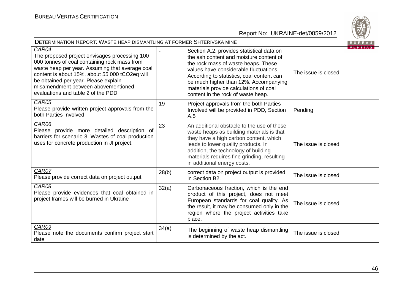

| <b>DETERMINATION REPORT: WASTE HEAP DISMANTLING AT FORMER SHTERIVSKA MINE</b>                                                                                                                                                                                                                                                    |       |                                                                                                                                                                                                                                                                                                                                             |                     | BUREAU         |
|----------------------------------------------------------------------------------------------------------------------------------------------------------------------------------------------------------------------------------------------------------------------------------------------------------------------------------|-------|---------------------------------------------------------------------------------------------------------------------------------------------------------------------------------------------------------------------------------------------------------------------------------------------------------------------------------------------|---------------------|----------------|
| CAR04<br>The proposed project envisages processing 100<br>000 tonnes of coal containing rock mass from<br>waste heap per year. Assuming that average coal<br>content is about 15%, about 55 000 tCO2eq will<br>be obtained per year. Please explain<br>misamendment between abovementioned<br>evaluations and table 2 of the PDD |       | Section A.2. provides statistical data on<br>the ash content and moisture content of<br>the rock mass of waste heaps. These<br>values have considerable fluctuations.<br>According to statistics, coal content can<br>be much higher than 12%. Accompanying<br>materials provide calculations of coal<br>content in the rock of waste heap. | The issue is closed | <b>VERITAS</b> |
| CAR05<br>Please provide written project approvals from the<br>both Parties Involved                                                                                                                                                                                                                                              | 19    | Project approvals from the both Parties<br>Involved will be provided in PDD, Section<br>A.5                                                                                                                                                                                                                                                 | Pending             |                |
| CAR06<br>Please provide more detailed description of<br>barriers for scenario 3. Wastes of coal production<br>uses for concrete production in JI project.                                                                                                                                                                        | 23    | An additional obstacle to the use of these<br>waste heaps as building materials is that<br>they have a high carbon content, which<br>leads to lower quality products. In<br>addition, the technology of building<br>materials requires fine grinding, resulting<br>in additional energy costs.                                              | The issue is closed |                |
| CAR07<br>Please provide correct data on project output                                                                                                                                                                                                                                                                           | 28(b) | correct data on project output is provided<br>in Section B2.                                                                                                                                                                                                                                                                                | The issue is closed |                |
| CAR08<br>Please provide evidences that coal obtained in<br>project frames will be burned in Ukraine                                                                                                                                                                                                                              | 32(a) | Carbonaceous fraction, which is the end<br>product of this project, does not meet<br>European standards for coal quality. As<br>the result, it may be consumed only in the<br>region where the project activities take<br>place.                                                                                                            | The issue is closed |                |
| CAR09<br>Please note the documents confirm project start<br>date                                                                                                                                                                                                                                                                 | 34(a) | The beginning of waste heap dismantling<br>is determined by the act.                                                                                                                                                                                                                                                                        | The issue is closed |                |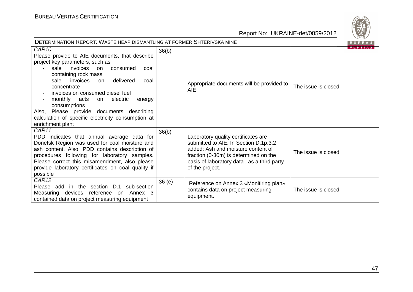

| DETERMINATION REPORT: WASTE HEAP DISMANTLING AT FORMER SHTERIVSKA MINE<br>BUREAU                                                                                                                                                                                                                                                                                                                                                                                                                  |       |                                                                                                                                                                                                                              |                     |                |  |
|---------------------------------------------------------------------------------------------------------------------------------------------------------------------------------------------------------------------------------------------------------------------------------------------------------------------------------------------------------------------------------------------------------------------------------------------------------------------------------------------------|-------|------------------------------------------------------------------------------------------------------------------------------------------------------------------------------------------------------------------------------|---------------------|----------------|--|
| CAR <sub>10</sub><br>Please provide to AIE documents, that describe<br>project key parameters, such as<br>sale<br>invoices<br>consumed<br>coal<br><b>on</b><br>containing rock mass<br>delivered<br>sale<br>invoices<br>on<br>coal<br>concentrate<br>invoices on consumed diesel fuel<br>monthly acts<br>on electric<br>energy<br>$\overline{\phantom{a}}$<br>consumptions<br>Also, Please provide documents describing<br>calculation of specific electricity consumption at<br>enrichment plant | 36(b) | Appropriate documents will be provided to<br><b>AIE</b>                                                                                                                                                                      | The issue is closed | <b>VERIIAS</b> |  |
| CAR11<br>PDD indicates that annual average data for<br>Donetsk Region was used for coal moisture and<br>ash content. Also, PDD contains description of<br>procedures following for laboratory samples.<br>Please correct this misamendment, also please<br>provide laboratory certificates on coal quality if<br>possible                                                                                                                                                                         | 36(b) | Laboratory quality certificates are<br>submitted to AIE. In Section D.1p.3.2<br>added: Ash and moisture content of<br>fraction (0-30m) is determined on the<br>basis of laboratory data, as a third party<br>of the project. | The issue is closed |                |  |
| <b>CAR12</b><br>Please add in the section D.1<br>sub-section<br>Measuring devices reference<br>Annex 3<br>on.<br>contained data on project measuring equipment                                                                                                                                                                                                                                                                                                                                    | 36(e) | Reference on Annex 3 «Monitiring plan»<br>contains data on project measuring<br>equipment.                                                                                                                                   | The issue is closed |                |  |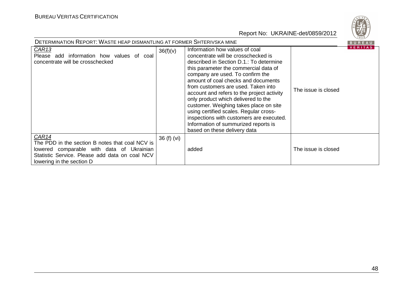| <b>DETERMINATION REPORT: WASTE HEAP DISMANTLING AT FORMER SHTERIVSKA MINE</b><br><b>BUREAU</b>                                                                                       |             |                                                                                                                                                                                                                                                                                                                                                                                                                                                                                                                                                                          |                     |         |  |
|--------------------------------------------------------------------------------------------------------------------------------------------------------------------------------------|-------------|--------------------------------------------------------------------------------------------------------------------------------------------------------------------------------------------------------------------------------------------------------------------------------------------------------------------------------------------------------------------------------------------------------------------------------------------------------------------------------------------------------------------------------------------------------------------------|---------------------|---------|--|
| CAR <sub>13</sub><br>Please add information how values of coal<br>concentrate will be crosschecked                                                                                   | 36(f)(v)    | Information how values of coal<br>concentrate will be crosschecked is<br>described in Section D.1.: To determine<br>this parameter the commercial data of<br>company are used. To confirm the<br>amount of coal checks and documents<br>from customers are used. Taken into<br>account and refers to the project activity<br>only product which delivered to the<br>customer. Weighing takes place on site<br>using certified scales. Regular cross-<br>inspections with customers are executed.<br>Information of summurized reports is<br>based on these delivery data | The issue is closed | VERTIAS |  |
| CAR14<br>The PDD in the section B notes that coal NCV is<br>lowered comparable with data of Ukrainian<br>Statistic Service. Please add data on coal NCV<br>lowering in the section D | 36 (f) (vi) | added                                                                                                                                                                                                                                                                                                                                                                                                                                                                                                                                                                    | The issue is closed |         |  |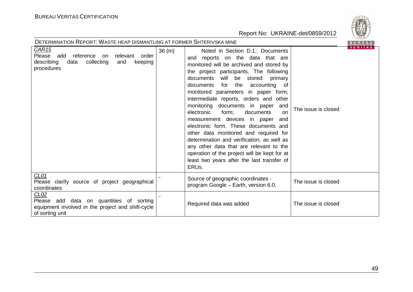



|                                                                                                                                             |        |                                                                                                                                                                                                                                                                                                                                                                                                                                                                                                                                                                                                                                                                                                                                                  | <b>VERITAS</b>      |
|---------------------------------------------------------------------------------------------------------------------------------------------|--------|--------------------------------------------------------------------------------------------------------------------------------------------------------------------------------------------------------------------------------------------------------------------------------------------------------------------------------------------------------------------------------------------------------------------------------------------------------------------------------------------------------------------------------------------------------------------------------------------------------------------------------------------------------------------------------------------------------------------------------------------------|---------------------|
| CAR <sub>15</sub><br>relevant<br>Please add<br>reference<br>order<br>on<br>describing<br>collecting<br>data<br>and<br>keeping<br>procedures | 36 (m) | Noted in Section D.1.: Documents<br>and reports on the data that are<br>monitored will be archived and stored by<br>the project participants. The following<br>documents<br>will<br>be stored: primary<br>the<br>accounting<br>documents<br>for<br>of<br>monitored parameters in paper form;<br>intermediate reports, orders and other<br>monitoring documents in paper<br>and<br>electronic<br>documents<br>form;<br>on<br>measurement devices in paper<br>and<br>electronic form. These documents and<br>other data monitored and required for<br>determination and verification, as well as<br>any other data that are relevant to the<br>operation of the project will be kept for at<br>least two years after the last transfer of<br>ERUs. | The issue is closed |
| CL01<br>Please clarify source of project geographical<br>coordinates                                                                        |        | Source of geographic coordinates -<br>program Google - Earth, version 6.0.                                                                                                                                                                                                                                                                                                                                                                                                                                                                                                                                                                                                                                                                       | The issue is closed |
| CLO2<br>Please add data on quantities of sorting<br>equipment involved in the project and shift-cycle<br>of sorting unit                    |        | Required data was added                                                                                                                                                                                                                                                                                                                                                                                                                                                                                                                                                                                                                                                                                                                          | The issue is closed |